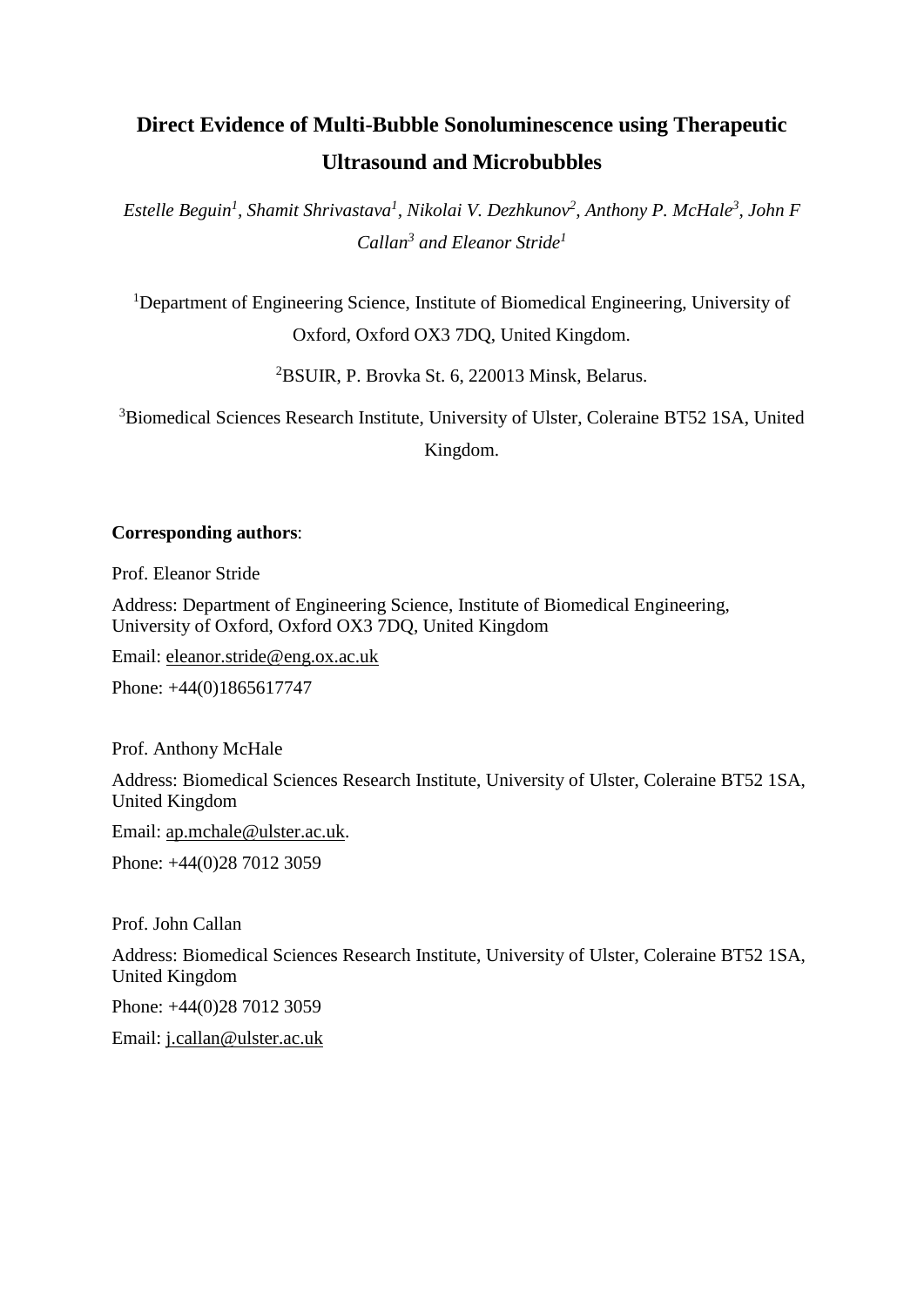# **Direct Evidence of Multi-Bubble Sonoluminescence using Therapeutic Ultrasound and Microbubbles**

*Estelle Beguin<sup>1</sup> , Shamit Shrivastava<sup>1</sup> , Nikolai V. Dezhkunov<sup>2</sup> , Anthony P. McHale<sup>3</sup> , John F Callan<sup>3</sup> and Eleanor Stride<sup>1</sup>*

<sup>1</sup>Department of Engineering Science, Institute of Biomedical Engineering, University of Oxford, Oxford OX3 7DQ, United Kingdom.

<sup>2</sup>BSUIR, P. Brovka St. 6, 220013 Minsk, Belarus.

<sup>3</sup>Biomedical Sciences Research Institute, University of Ulster, Coleraine BT52 1SA, United Kingdom.

# **Corresponding authors**:

Prof. Eleanor Stride

Address: Department of Engineering Science, Institute of Biomedical Engineering, University of Oxford, Oxford OX3 7DQ, United Kingdom

Email: [eleanor.stride@eng.ox.ac.uk](mailto:eleanor.stride@eng.ox.ac.uk)

Phone: +44(0)1865617747

Prof. Anthony McHale

Address: Biomedical Sciences Research Institute, University of Ulster, Coleraine BT52 1SA, United Kingdom

Email: [ap.mchale@ulster.ac.uk.](mailto:ap.mchale@ulster.ac.uk)

Phone: +44(0)28 7012 3059

Prof. John Callan

Address: Biomedical Sciences Research Institute, University of Ulster, Coleraine BT52 1SA, United Kingdom

Phone: +44(0)28 7012 3059

Email: [j.callan@ulster.ac.uk](mailto:j.callan@ulster.ac.uk)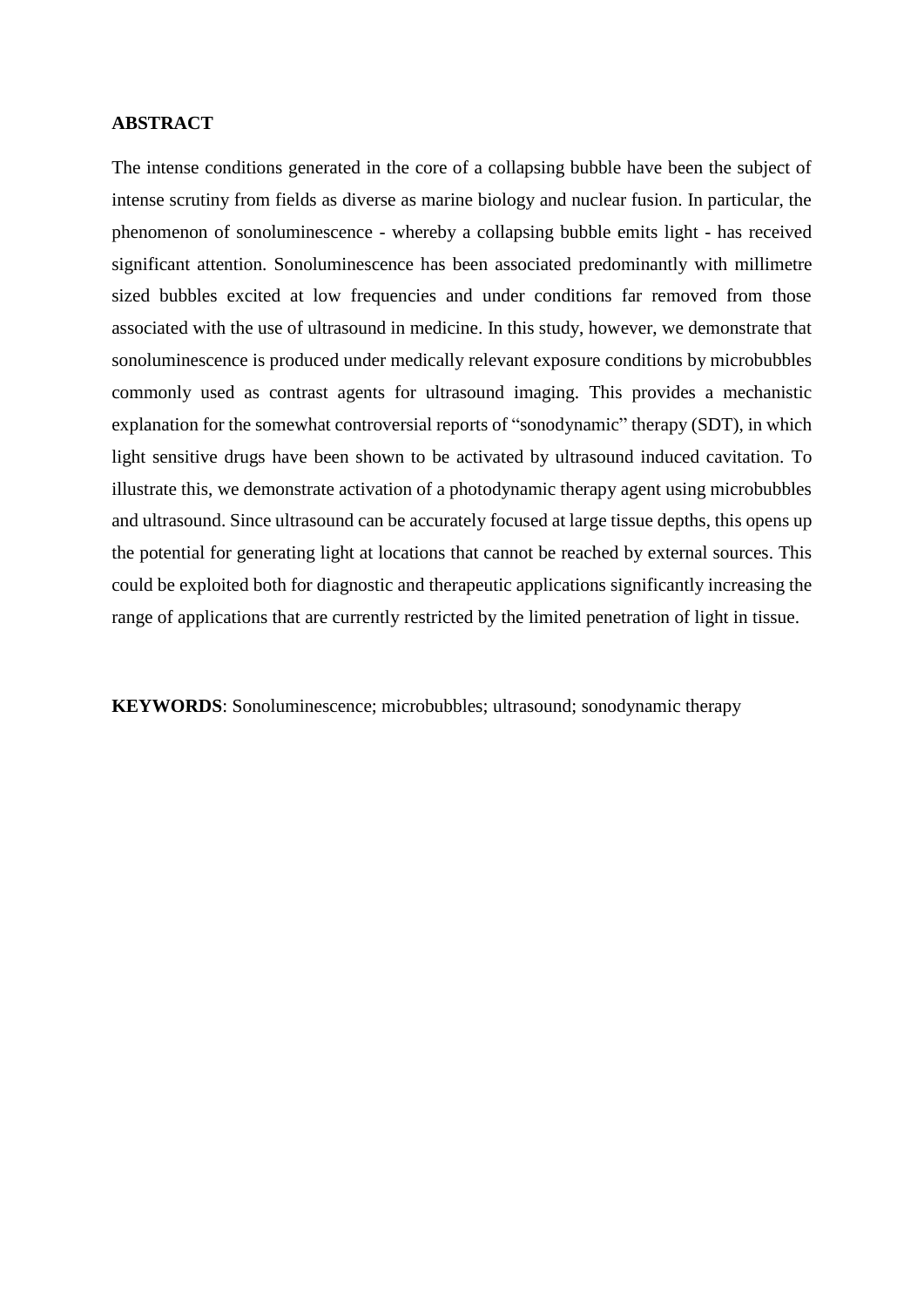#### **ABSTRACT**

The intense conditions generated in the core of a collapsing bubble have been the subject of intense scrutiny from fields as diverse as marine biology and nuclear fusion. In particular, the phenomenon of sonoluminescence - whereby a collapsing bubble emits light - has received significant attention. Sonoluminescence has been associated predominantly with millimetre sized bubbles excited at low frequencies and under conditions far removed from those associated with the use of ultrasound in medicine. In this study, however, we demonstrate that sonoluminescence is produced under medically relevant exposure conditions by microbubbles commonly used as contrast agents for ultrasound imaging. This provides a mechanistic explanation for the somewhat controversial reports of "sonodynamic" therapy (SDT), in which light sensitive drugs have been shown to be activated by ultrasound induced cavitation. To illustrate this, we demonstrate activation of a photodynamic therapy agent using microbubbles and ultrasound. Since ultrasound can be accurately focused at large tissue depths, this opens up the potential for generating light at locations that cannot be reached by external sources. This could be exploited both for diagnostic and therapeutic applications significantly increasing the range of applications that are currently restricted by the limited penetration of light in tissue.

**KEYWORDS**: Sonoluminescence; microbubbles; ultrasound; sonodynamic therapy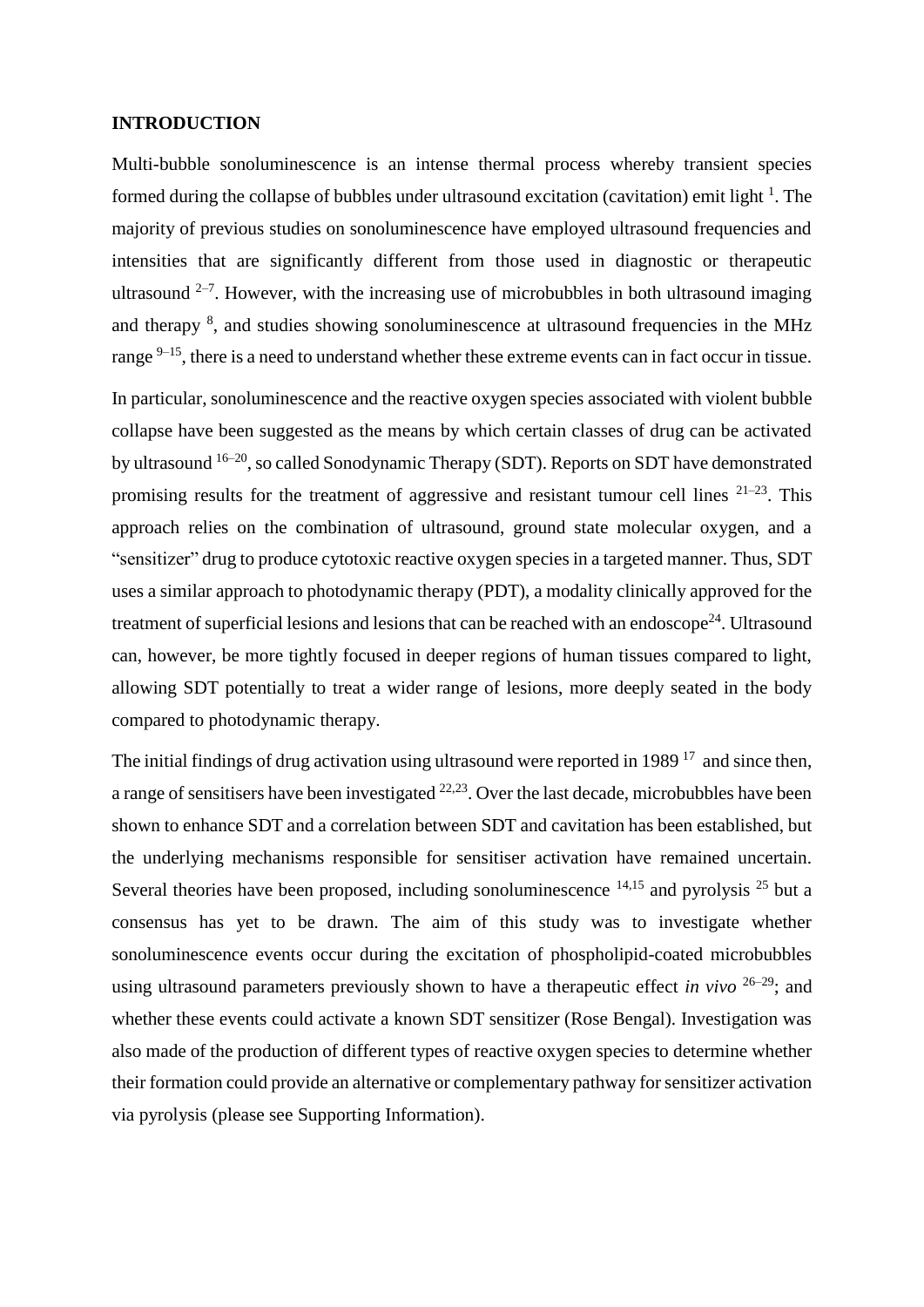#### **INTRODUCTION**

Multi-bubble sonoluminescence is an intense thermal process whereby transient species formed during the collapse of bubbles under ultrasound excitation (cavitation) emit light  $<sup>1</sup>$ . The</sup> majority of previous studies on sonoluminescence have employed ultrasound frequencies and intensities that are significantly different from those used in diagnostic or therapeutic ultrasound  $2-7$ . However, with the increasing use of microbubbles in both ultrasound imaging and therapy <sup>8</sup>, and studies showing sonoluminescence at ultrasound frequencies in the MHz range <sup>9–15</sup>, there is a need to understand whether these extreme events can in fact occur in tissue.

In particular, sonoluminescence and the reactive oxygen species associated with violent bubble collapse have been suggested as the means by which certain classes of drug can be activated by ultrasound 16–20, so called Sonodynamic Therapy (SDT). Reports on SDT have demonstrated promising results for the treatment of aggressive and resistant tumour cell lines  $21-23$ . This approach relies on the combination of ultrasound, ground state molecular oxygen, and a "sensitizer" drug to produce cytotoxic reactive oxygen species in a targeted manner. Thus, SDT uses a similar approach to photodynamic therapy (PDT), a modality clinically approved for the treatment of superficial lesions and lesions that can be reached with an endoscope<sup>24</sup>. Ultrasound can, however, be more tightly focused in deeper regions of human tissues compared to light, allowing SDT potentially to treat a wider range of lesions, more deeply seated in the body compared to photodynamic therapy.

The initial findings of drug activation using ultrasound were reported in 1989<sup>17</sup> and since then, a range of sensitisers have been investigated  $22,23$ . Over the last decade, microbubbles have been shown to enhance SDT and a correlation between SDT and cavitation has been established, but the underlying mechanisms responsible for sensitiser activation have remained uncertain. Several theories have been proposed, including sonoluminescence  $14,15$  and pyrolysis  $25$  but a consensus has yet to be drawn. The aim of this study was to investigate whether sonoluminescence events occur during the excitation of phospholipid-coated microbubbles using ultrasound parameters previously shown to have a therapeutic effect *in vivo* 26–29; and whether these events could activate a known SDT sensitizer (Rose Bengal). Investigation was also made of the production of different types of reactive oxygen species to determine whether their formation could provide an alternative or complementary pathway for sensitizer activation via pyrolysis (please see Supporting Information).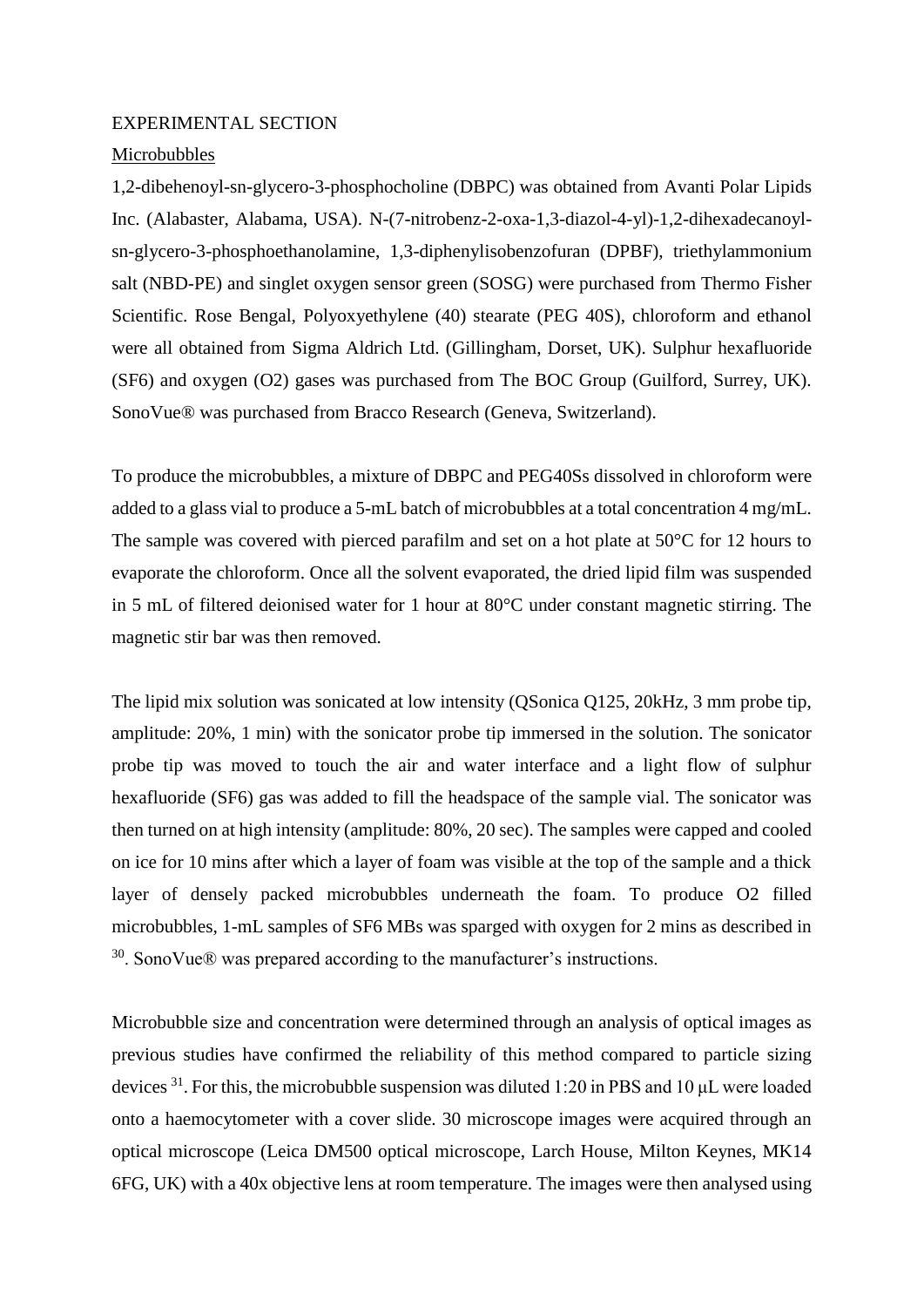#### EXPERIMENTAL SECTION

## Microbubbles

1,2-dibehenoyl-sn-glycero-3-phosphocholine (DBPC) was obtained from Avanti Polar Lipids Inc. (Alabaster, Alabama, USA). N-(7-nitrobenz-2-oxa-1,3-diazol-4-yl)-1,2-dihexadecanoylsn-glycero-3-phosphoethanolamine, 1,3-diphenylisobenzofuran (DPBF), triethylammonium salt (NBD-PE) and singlet oxygen sensor green (SOSG) were purchased from Thermo Fisher Scientific. Rose Bengal, Polyoxyethylene (40) stearate (PEG 40S), chloroform and ethanol were all obtained from Sigma Aldrich Ltd. (Gillingham, Dorset, UK). Sulphur hexafluoride (SF6) and oxygen (O2) gases was purchased from The BOC Group (Guilford, Surrey, UK). SonoVue® was purchased from Bracco Research (Geneva, Switzerland).

To produce the microbubbles, a mixture of DBPC and PEG40Ss dissolved in chloroform were added to a glass vial to produce a 5-mL batch of microbubbles at a total concentration 4 mg/mL. The sample was covered with pierced parafilm and set on a hot plate at 50°C for 12 hours to evaporate the chloroform. Once all the solvent evaporated, the dried lipid film was suspended in 5 mL of filtered deionised water for 1 hour at 80°C under constant magnetic stirring. The magnetic stir bar was then removed.

The lipid mix solution was sonicated at low intensity (QSonica Q125, 20kHz, 3 mm probe tip, amplitude: 20%, 1 min) with the sonicator probe tip immersed in the solution. The sonicator probe tip was moved to touch the air and water interface and a light flow of sulphur hexafluoride (SF6) gas was added to fill the headspace of the sample vial. The sonicator was then turned on at high intensity (amplitude: 80%, 20 sec). The samples were capped and cooled on ice for 10 mins after which a layer of foam was visible at the top of the sample and a thick layer of densely packed microbubbles underneath the foam. To produce O2 filled microbubbles, 1-mL samples of SF6 MBs was sparged with oxygen for 2 mins as described in <sup>30</sup>. SonoVue® was prepared according to the manufacturer's instructions.

Microbubble size and concentration were determined through an analysis of optical images as previous studies have confirmed the reliability of this method compared to particle sizing devices  $31$ . For this, the microbubble suspension was diluted 1:20 in PBS and 10  $\mu$ L were loaded onto a haemocytometer with a cover slide. 30 microscope images were acquired through an optical microscope (Leica DM500 optical microscope, Larch House, Milton Keynes, MK14 6FG, UK) with a 40x objective lens at room temperature. The images were then analysed using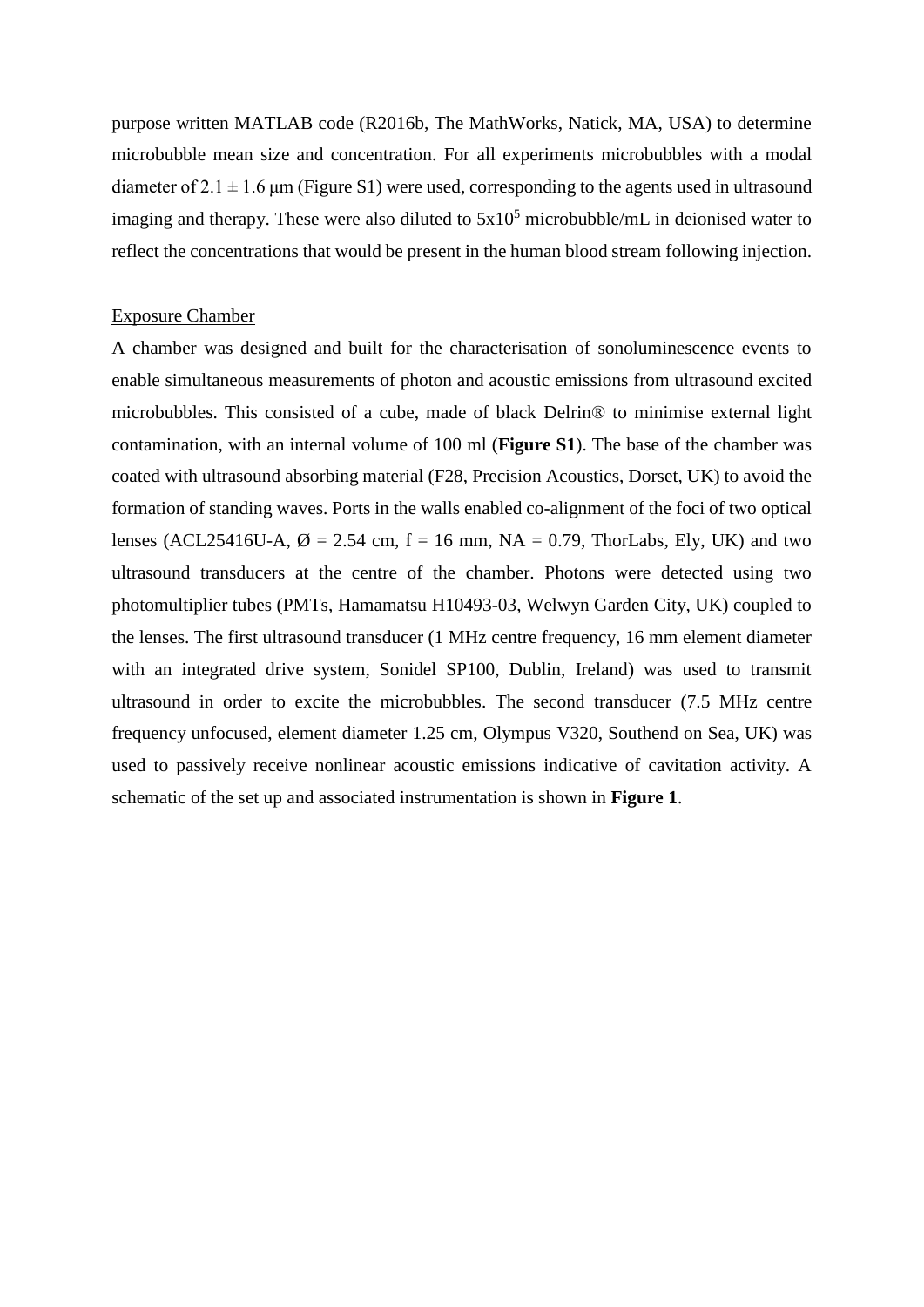purpose written MATLAB code (R2016b, The MathWorks, Natick, MA, USA) to determine microbubble mean size and concentration. For all experiments microbubbles with a modal diameter of  $2.1 \pm 1.6$  µm (Figure S1) were used, corresponding to the agents used in ultrasound imaging and therapy. These were also diluted to  $5x10<sup>5</sup>$  microbubble/mL in deionised water to reflect the concentrations that would be present in the human blood stream following injection.

#### Exposure Chamber

A chamber was designed and built for the characterisation of sonoluminescence events to enable simultaneous measurements of photon and acoustic emissions from ultrasound excited microbubbles. This consisted of a cube, made of black Delrin® to minimise external light contamination, with an internal volume of 100 ml (**Figure S1**). The base of the chamber was coated with ultrasound absorbing material (F28, Precision Acoustics, Dorset, UK) to avoid the formation of standing waves. Ports in the walls enabled co-alignment of the foci of two optical lenses (ACL25416U-A,  $\varnothing$  = 2.54 cm, f = 16 mm, NA = 0.79, ThorLabs, Ely, UK) and two ultrasound transducers at the centre of the chamber. Photons were detected using two photomultiplier tubes (PMTs, Hamamatsu H10493-03, Welwyn Garden City, UK) coupled to the lenses. The first ultrasound transducer (1 MHz centre frequency, 16 mm element diameter with an integrated drive system, Sonidel SP100, Dublin, Ireland) was used to transmit ultrasound in order to excite the microbubbles. The second transducer (7.5 MHz centre frequency unfocused, element diameter 1.25 cm, Olympus V320, Southend on Sea, UK) was used to passively receive nonlinear acoustic emissions indicative of cavitation activity. A schematic of the set up and associated instrumentation is shown in **Figure 1**.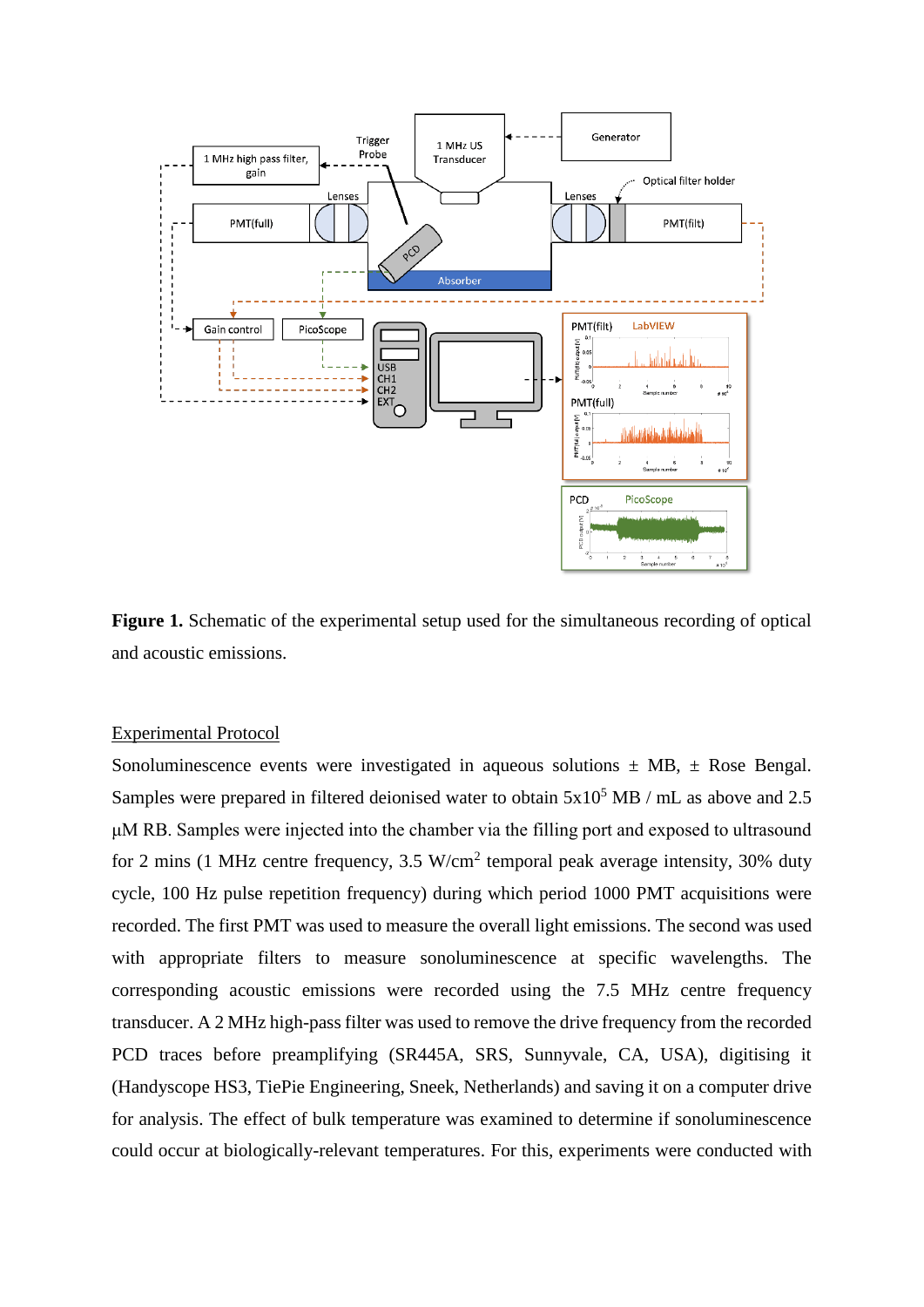

Figure 1. Schematic of the experimental setup used for the simultaneous recording of optical and acoustic emissions.

#### Experimental Protocol

Sonoluminescence events were investigated in aqueous solutions  $\pm$  MB,  $\pm$  Rose Bengal. Samples were prepared in filtered deionised water to obtain  $5x10^5$  MB / mL as above and 2.5 μM RB. Samples were injected into the chamber via the filling port and exposed to ultrasound for 2 mins (1 MHz centre frequency,  $3.5 \text{ W/cm}^2$  temporal peak average intensity,  $30\%$  duty cycle, 100 Hz pulse repetition frequency) during which period 1000 PMT acquisitions were recorded. The first PMT was used to measure the overall light emissions. The second was used with appropriate filters to measure sonoluminescence at specific wavelengths. The corresponding acoustic emissions were recorded using the 7.5 MHz centre frequency transducer. A 2 MHz high-pass filter was used to remove the drive frequency from the recorded PCD traces before preamplifying (SR445A, SRS, Sunnyvale, CA, USA), digitising it (Handyscope HS3, TiePie Engineering, Sneek, Netherlands) and saving it on a computer drive for analysis. The effect of bulk temperature was examined to determine if sonoluminescence could occur at biologically-relevant temperatures. For this, experiments were conducted with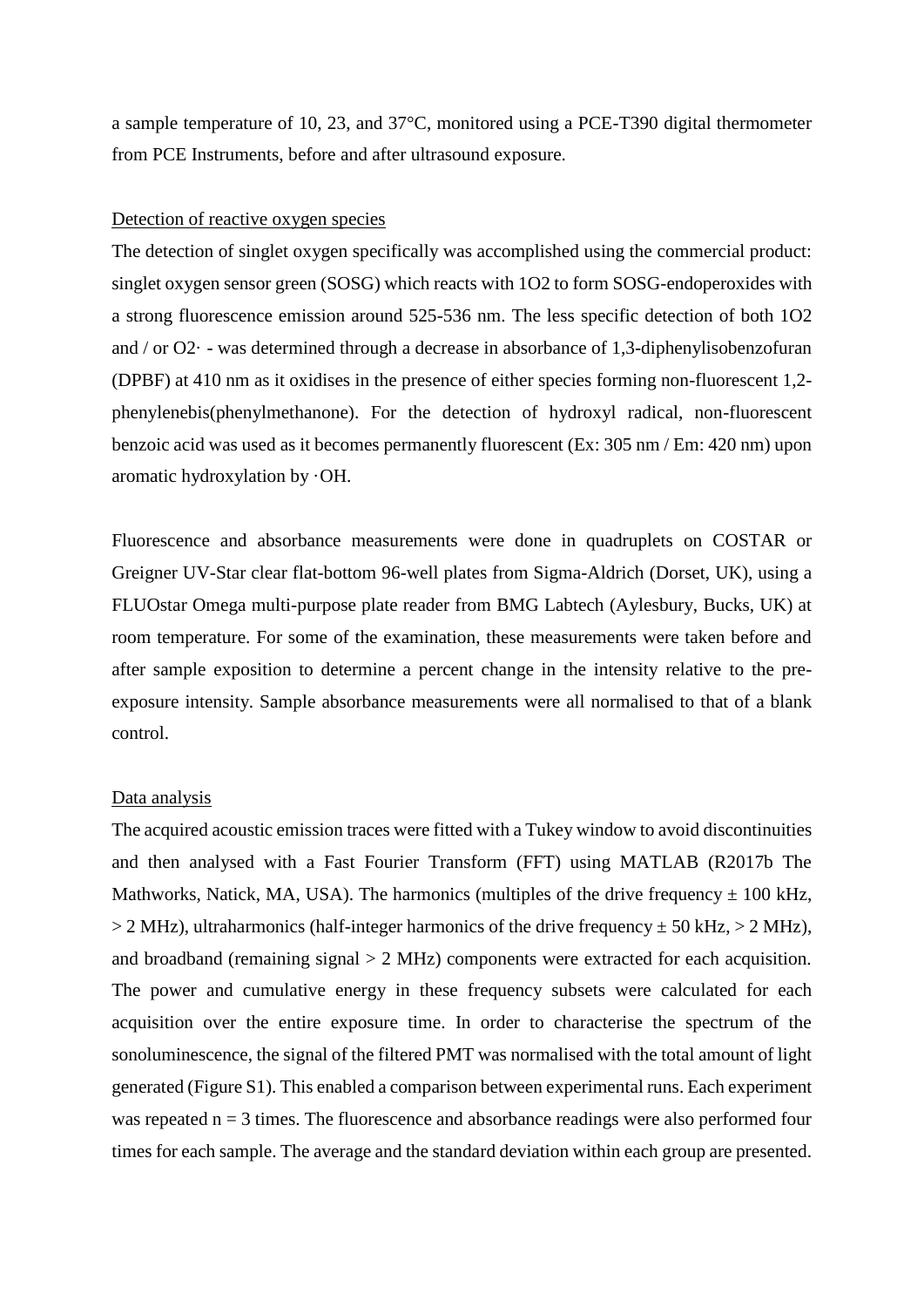a sample temperature of 10, 23, and 37°C, monitored using a PCE-T390 digital thermometer from PCE Instruments, before and after ultrasound exposure.

#### Detection of reactive oxygen species

The detection of singlet oxygen specifically was accomplished using the commercial product: singlet oxygen sensor green (SOSG) which reacts with 1O2 to form SOSG-endoperoxides with a strong fluorescence emission around 525-536 nm. The less specific detection of both 1O2 and / or O2· - was determined through a decrease in absorbance of 1,3-diphenylisobenzofuran (DPBF) at 410 nm as it oxidises in the presence of either species forming non-fluorescent 1,2 phenylenebis(phenylmethanone). For the detection of hydroxyl radical, non-fluorescent benzoic acid was used as it becomes permanently fluorescent (Ex: 305 nm / Em: 420 nm) upon aromatic hydroxylation by ·OH.

Fluorescence and absorbance measurements were done in quadruplets on COSTAR or Greigner UV-Star clear flat-bottom 96-well plates from Sigma-Aldrich (Dorset, UK), using a FLUOstar Omega multi-purpose plate reader from BMG Labtech (Aylesbury, Bucks, UK) at room temperature. For some of the examination, these measurements were taken before and after sample exposition to determine a percent change in the intensity relative to the preexposure intensity. Sample absorbance measurements were all normalised to that of a blank control.

#### Data analysis

The acquired acoustic emission traces were fitted with a Tukey window to avoid discontinuities and then analysed with a Fast Fourier Transform (FFT) using MATLAB (R2017b The Mathworks, Natick, MA, USA). The harmonics (multiples of the drive frequency  $\pm 100$  kHz,  $> 2$  MHz), ultraharmonics (half-integer harmonics of the drive frequency  $\pm$  50 kHz,  $> 2$  MHz), and broadband (remaining signal > 2 MHz) components were extracted for each acquisition. The power and cumulative energy in these frequency subsets were calculated for each acquisition over the entire exposure time. In order to characterise the spectrum of the sonoluminescence, the signal of the filtered PMT was normalised with the total amount of light generated (Figure S1). This enabled a comparison between experimental runs. Each experiment was repeated  $n = 3$  times. The fluorescence and absorbance readings were also performed four times for each sample. The average and the standard deviation within each group are presented.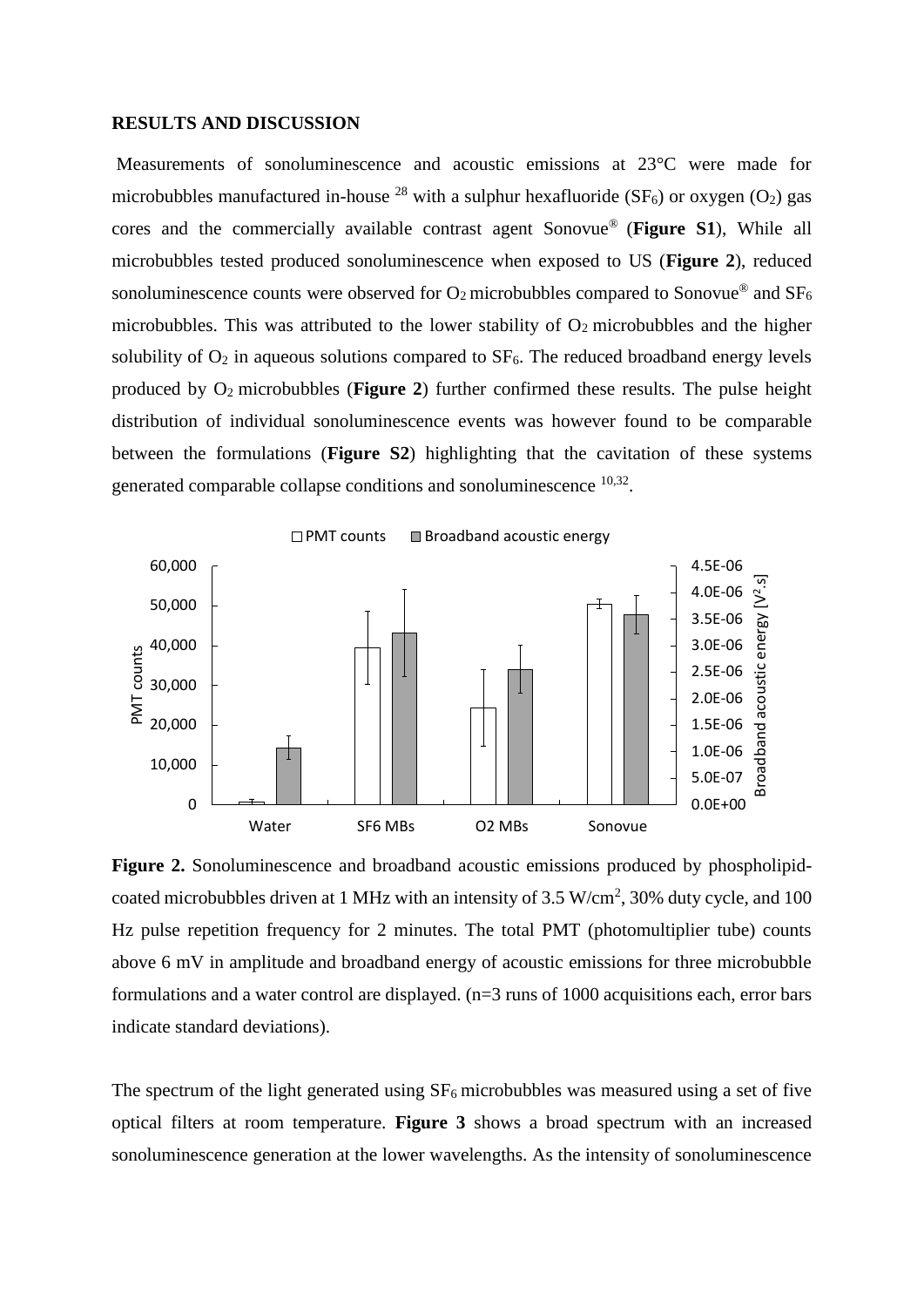#### **RESULTS AND DISCUSSION**

Measurements of sonoluminescence and acoustic emissions at 23°C were made for microbubbles manufactured in-house <sup>28</sup> with a sulphur hexafluoride (SF<sub>6</sub>) or oxygen (O<sub>2</sub>) gas cores and the commercially available contrast agent Sonovue® (**Figure S1**), While all microbubbles tested produced sonoluminescence when exposed to US (**Figure 2**), reduced sonoluminescence counts were observed for  $O_2$  microbubbles compared to Sonovue® and SF<sub>6</sub> microbubbles. This was attributed to the lower stability of  $O_2$  microbubbles and the higher solubility of  $O_2$  in aqueous solutions compared to  $SF_6$ . The reduced broadband energy levels produced by O2 microbubbles (**Figure 2**) further confirmed these results. The pulse height distribution of individual sonoluminescence events was however found to be comparable between the formulations (**Figure S2**) highlighting that the cavitation of these systems generated comparable collapse conditions and sonoluminescence  $10,32$ .



**Figure 2.** Sonoluminescence and broadband acoustic emissions produced by phospholipidcoated microbubbles driven at 1 MHz with an intensity of  $3.5 \text{ W/cm}^2$ ,  $30\%$  duty cycle, and  $100$ Hz pulse repetition frequency for 2 minutes. The total PMT (photomultiplier tube) counts above 6 mV in amplitude and broadband energy of acoustic emissions for three microbubble formulations and a water control are displayed. (n=3 runs of 1000 acquisitions each, error bars indicate standard deviations).

The spectrum of the light generated using  $SF_6$  microbubbles was measured using a set of five optical filters at room temperature. **Figure 3** shows a broad spectrum with an increased sonoluminescence generation at the lower wavelengths. As the intensity of sonoluminescence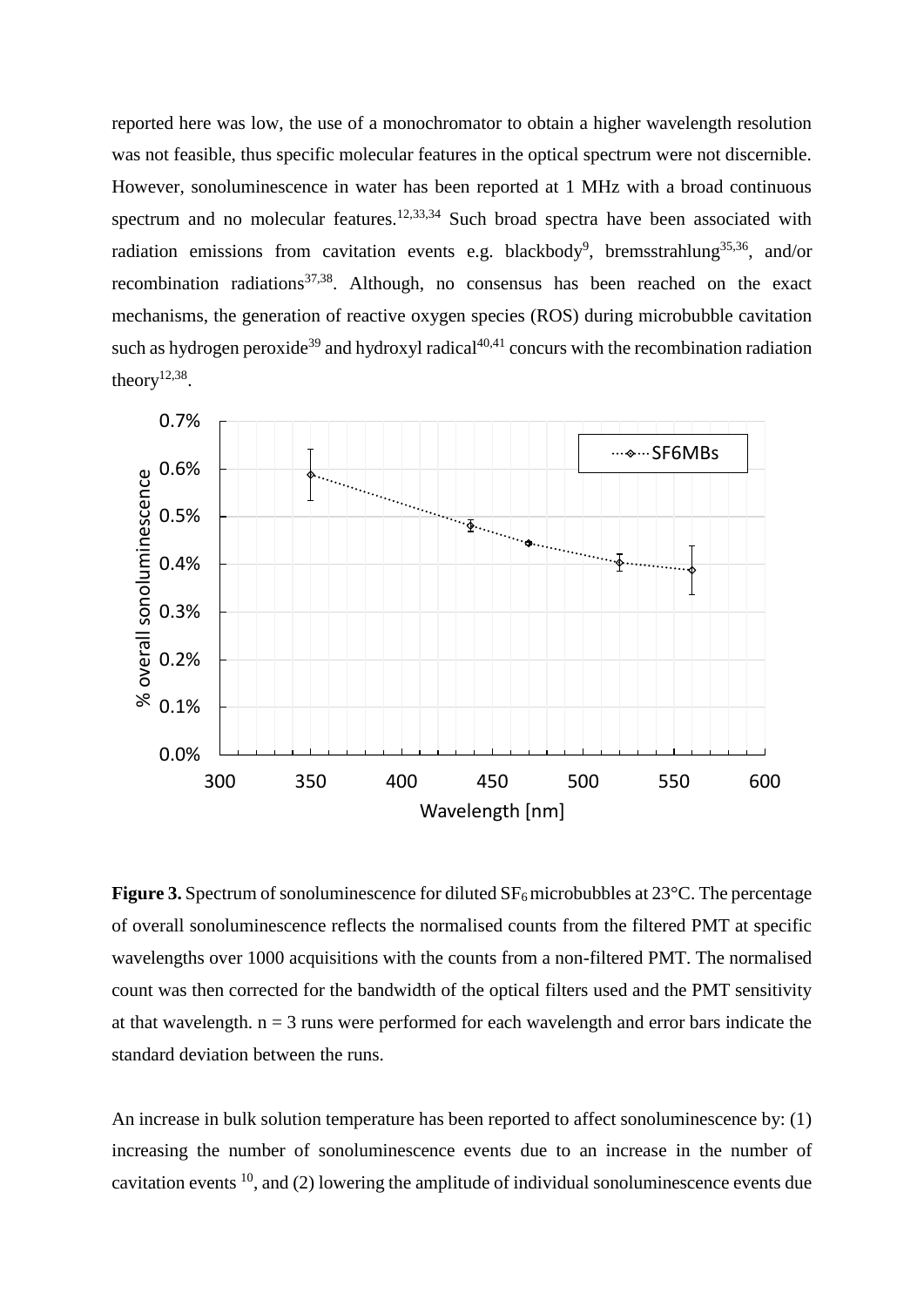reported here was low, the use of a monochromator to obtain a higher wavelength resolution was not feasible, thus specific molecular features in the optical spectrum were not discernible. However, sonoluminescence in water has been reported at 1 MHz with a broad continuous spectrum and no molecular features.<sup>12,33,34</sup> Such broad spectra have been associated with radiation emissions from cavitation events e.g. blackbody<sup>9</sup>, bremsstrahlung<sup>35,36</sup>, and/or recombination radiations<sup>37,38</sup>. Although, no consensus has been reached on the exact mechanisms, the generation of reactive oxygen species (ROS) during microbubble cavitation such as hydrogen peroxide<sup>39</sup> and hydroxyl radical<sup>40,41</sup> concurs with the recombination radiation theory $12,38$ .



**Figure 3.** Spectrum of sonoluminescence for diluted  $SF<sub>6</sub>$  microbubbles at 23<sup>°</sup>C. The percentage of overall sonoluminescence reflects the normalised counts from the filtered PMT at specific wavelengths over 1000 acquisitions with the counts from a non-filtered PMT. The normalised count was then corrected for the bandwidth of the optical filters used and the PMT sensitivity at that wavelength.  $n = 3$  runs were performed for each wavelength and error bars indicate the standard deviation between the runs.

An increase in bulk solution temperature has been reported to affect sonoluminescence by: (1) increasing the number of sonoluminescence events due to an increase in the number of cavitation events  $^{10}$ , and (2) lowering the amplitude of individual sonoluminescence events due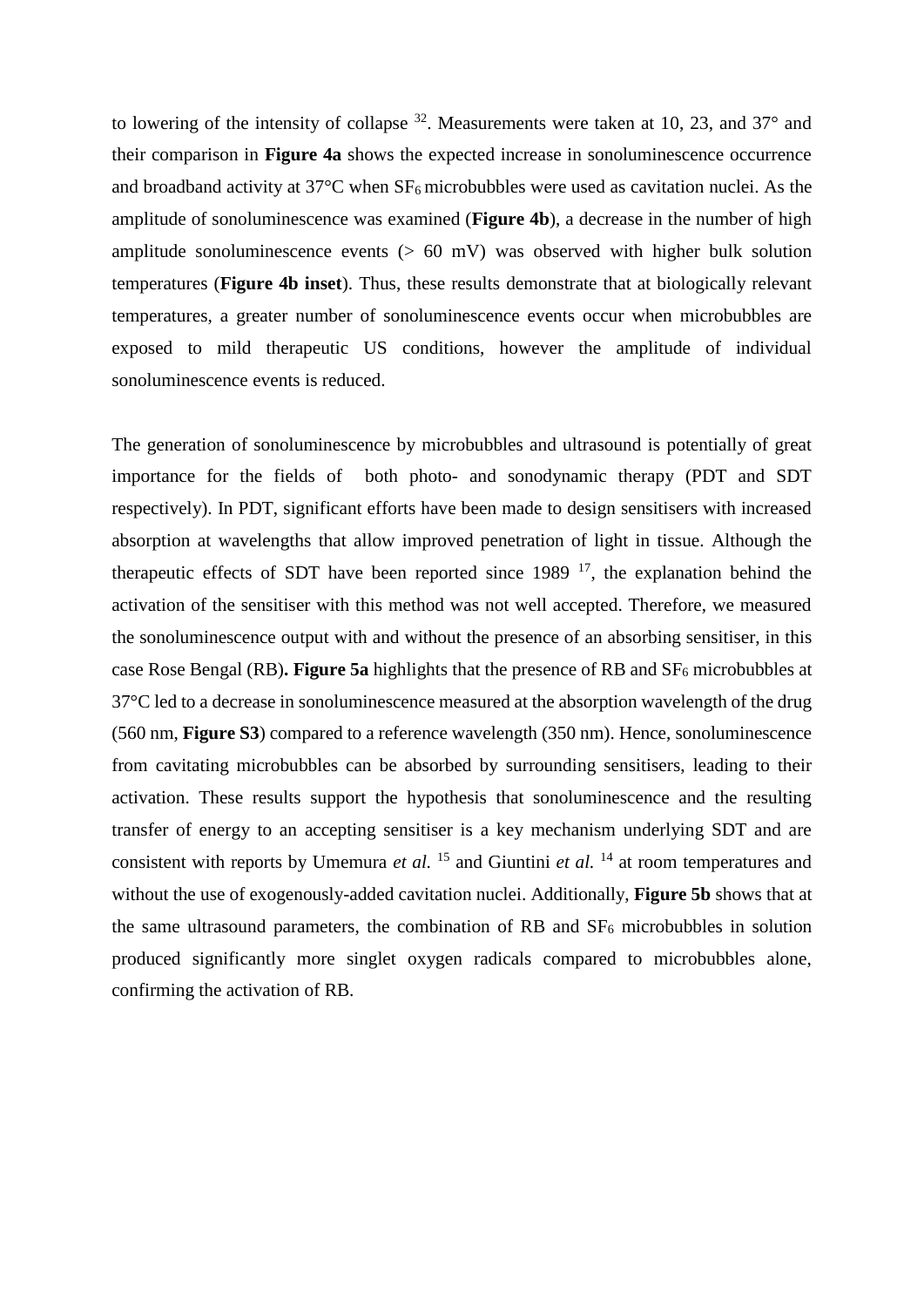to lowering of the intensity of collapse  $32$ . Measurements were taken at 10, 23, and 37 $^{\circ}$  and their comparison in **Figure 4a** shows the expected increase in sonoluminescence occurrence and broadband activity at  $37^{\circ}$ C when  $SF_6$  microbubbles were used as cavitation nuclei. As the amplitude of sonoluminescence was examined (**Figure 4b**), a decrease in the number of high amplitude sonoluminescence events  $(> 60 \text{ mV})$  was observed with higher bulk solution temperatures (**Figure 4b inset**). Thus, these results demonstrate that at biologically relevant temperatures, a greater number of sonoluminescence events occur when microbubbles are exposed to mild therapeutic US conditions, however the amplitude of individual sonoluminescence events is reduced.

The generation of sonoluminescence by microbubbles and ultrasound is potentially of great importance for the fields of both photo- and sonodynamic therapy (PDT and SDT respectively). In PDT, significant efforts have been made to design sensitisers with increased absorption at wavelengths that allow improved penetration of light in tissue. Although the therapeutic effects of SDT have been reported since  $1989$  <sup>17</sup>, the explanation behind the activation of the sensitiser with this method was not well accepted. Therefore, we measured the sonoluminescence output with and without the presence of an absorbing sensitiser, in this case Rose Bengal (RB)**. Figure 5a** highlights that the presence of RB and SF<sup>6</sup> microbubbles at 37°C led to a decrease in sonoluminescence measured at the absorption wavelength of the drug (560 nm, **Figure S3**) compared to a reference wavelength (350 nm). Hence, sonoluminescence from cavitating microbubbles can be absorbed by surrounding sensitisers, leading to their activation. These results support the hypothesis that sonoluminescence and the resulting transfer of energy to an accepting sensitiser is a key mechanism underlying SDT and are consistent with reports by Umemura *et al.* <sup>15</sup> and Giuntini *et al.* <sup>14</sup> at room temperatures and without the use of exogenously-added cavitation nuclei. Additionally, **Figure 5b** shows that at the same ultrasound parameters, the combination of RB and  $SF<sub>6</sub>$  microbubbles in solution produced significantly more singlet oxygen radicals compared to microbubbles alone, confirming the activation of RB.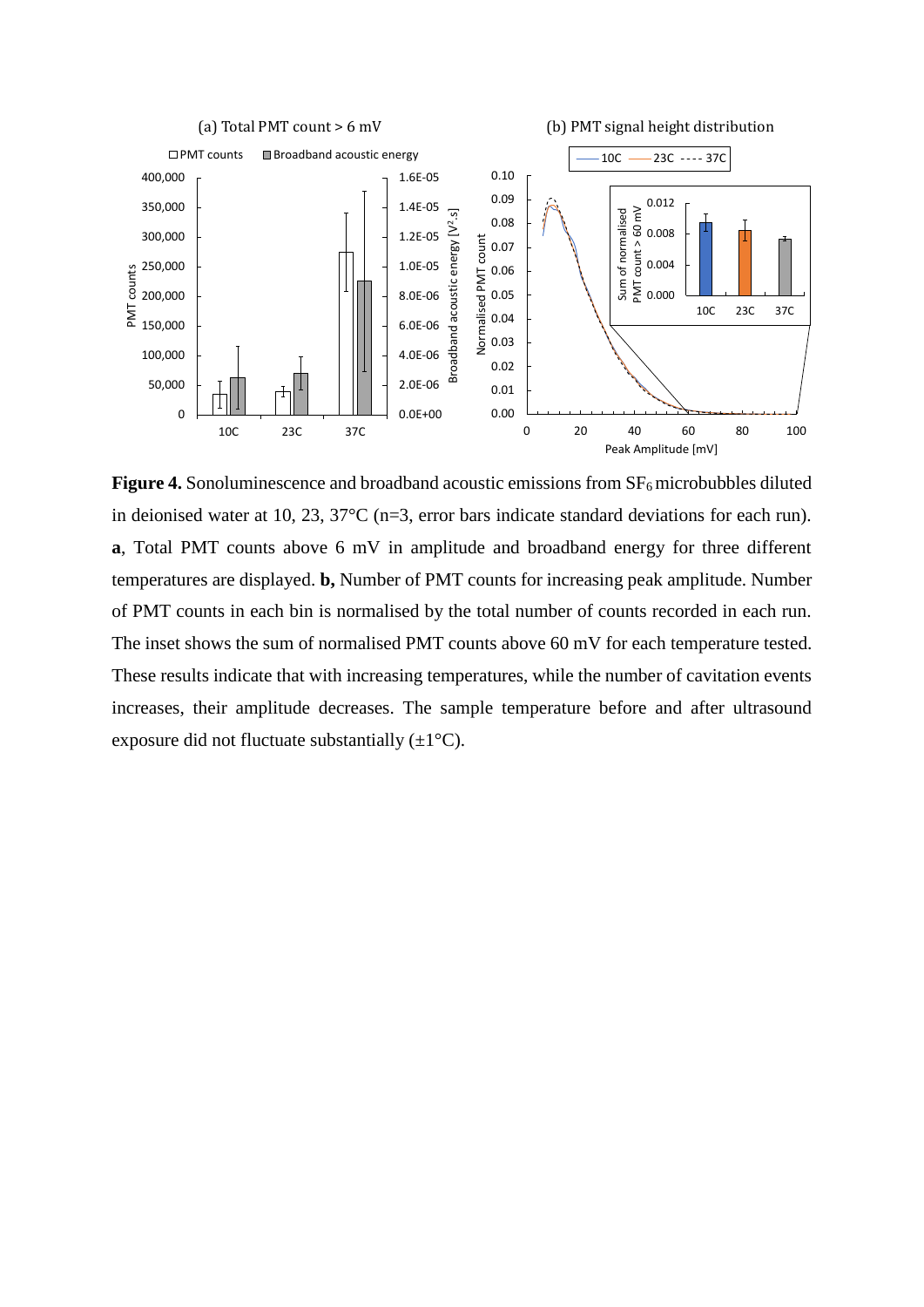

**Figure 4.** Sonoluminescence and broadband acoustic emissions from  $SF<sub>6</sub>$  microbubbles diluted in deionised water at 10, 23, 37°C (n=3, error bars indicate standard deviations for each run). **a**, Total PMT counts above 6 mV in amplitude and broadband energy for three different temperatures are displayed. **b,** Number of PMT counts for increasing peak amplitude. Number of PMT counts in each bin is normalised by the total number of counts recorded in each run. The inset shows the sum of normalised PMT counts above 60 mV for each temperature tested. These results indicate that with increasing temperatures, while the number of cavitation events increases, their amplitude decreases. The sample temperature before and after ultrasound exposure did not fluctuate substantially  $(\pm 1^{\circ}C)$ .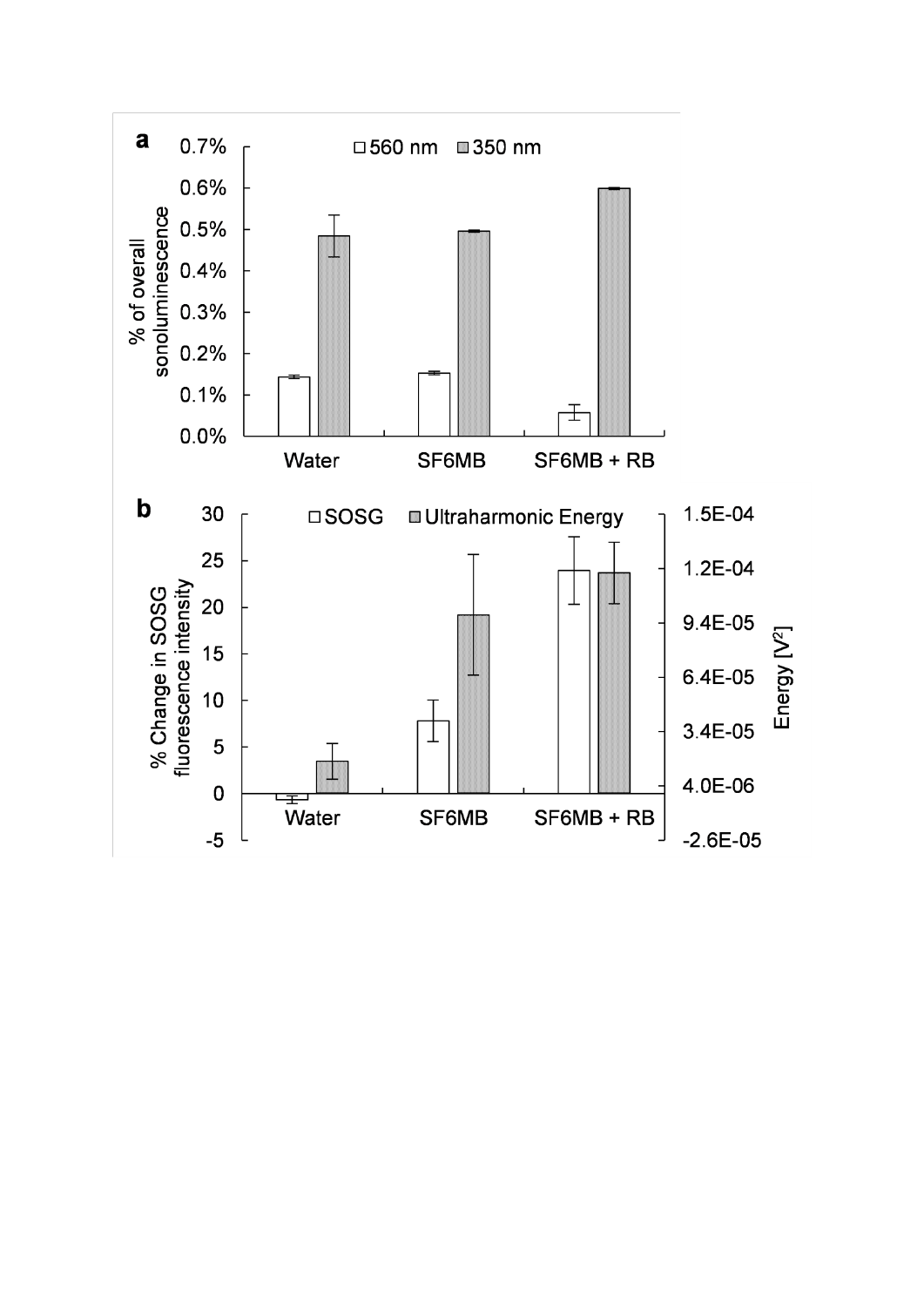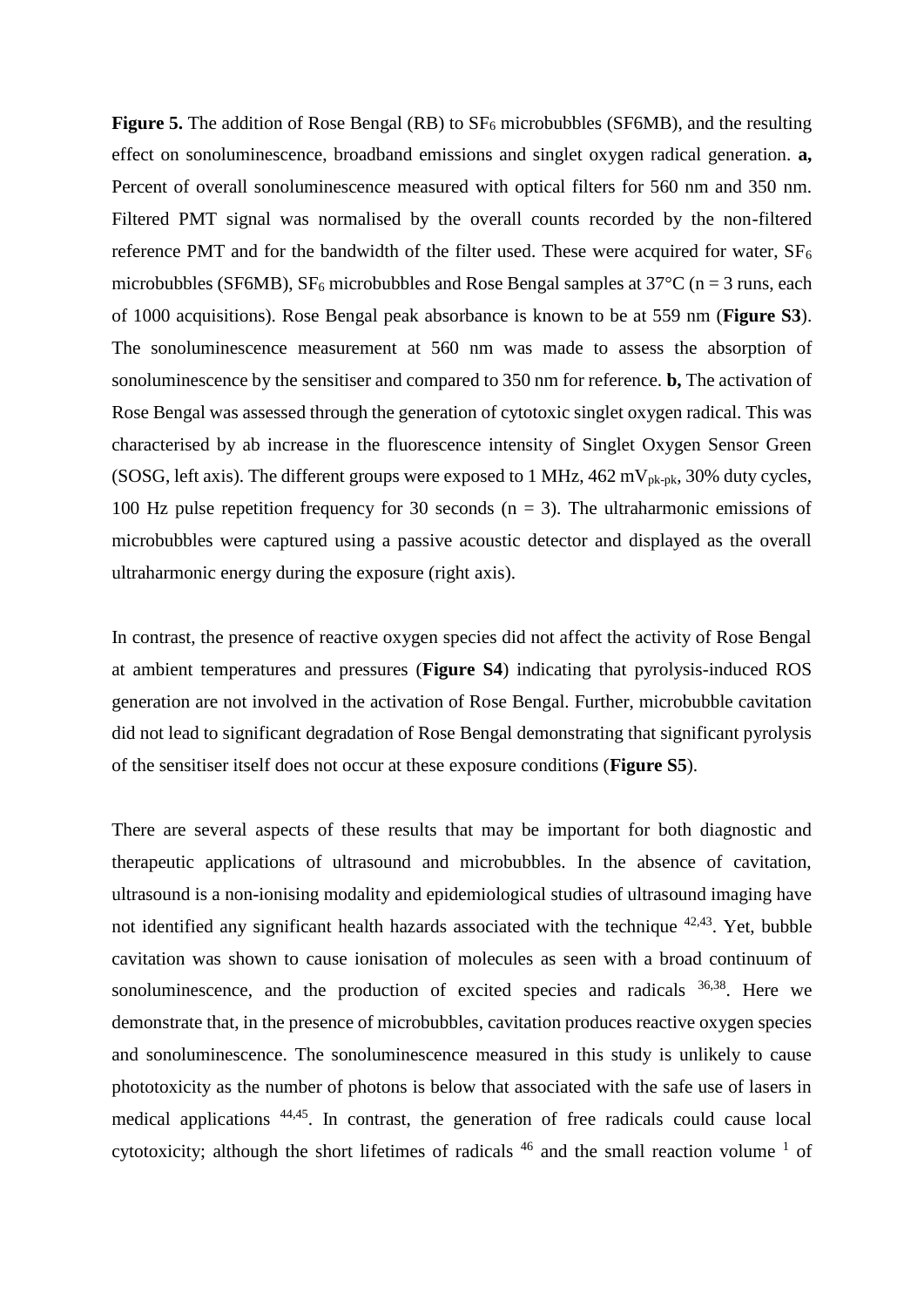**Figure 5.** The addition of Rose Bengal (RB) to  $SF_6$  microbubbles (SF6MB), and the resulting effect on sonoluminescence, broadband emissions and singlet oxygen radical generation. **a,**  Percent of overall sonoluminescence measured with optical filters for 560 nm and 350 nm. Filtered PMT signal was normalised by the overall counts recorded by the non-filtered reference PMT and for the bandwidth of the filter used. These were acquired for water,  $SF_6$ microbubbles (SF6MB), SF<sub>6</sub> microbubbles and Rose Bengal samples at  $37^{\circ}$ C (n = 3 runs, each of 1000 acquisitions). Rose Bengal peak absorbance is known to be at 559 nm (**Figure S3**). The sonoluminescence measurement at 560 nm was made to assess the absorption of sonoluminescence by the sensitiser and compared to 350 nm for reference. **b,** The activation of Rose Bengal was assessed through the generation of cytotoxic singlet oxygen radical. This was characterised by ab increase in the fluorescence intensity of Singlet Oxygen Sensor Green (SOSG, left axis). The different groups were exposed to 1 MHz,  $462 \text{ mV}_{pk-pk}$ , 30% duty cycles, 100 Hz pulse repetition frequency for 30 seconds  $(n = 3)$ . The ultraharmonic emissions of microbubbles were captured using a passive acoustic detector and displayed as the overall ultraharmonic energy during the exposure (right axis).

In contrast, the presence of reactive oxygen species did not affect the activity of Rose Bengal at ambient temperatures and pressures (**Figure S4**) indicating that pyrolysis-induced ROS generation are not involved in the activation of Rose Bengal. Further, microbubble cavitation did not lead to significant degradation of Rose Bengal demonstrating that significant pyrolysis of the sensitiser itself does not occur at these exposure conditions (**Figure S5**).

There are several aspects of these results that may be important for both diagnostic and therapeutic applications of ultrasound and microbubbles. In the absence of cavitation, ultrasound is a non-ionising modality and epidemiological studies of ultrasound imaging have not identified any significant health hazards associated with the technique  $42,43$ . Yet, bubble cavitation was shown to cause ionisation of molecules as seen with a broad continuum of sonoluminescence, and the production of excited species and radicals  $36,38$ . Here we demonstrate that, in the presence of microbubbles, cavitation produces reactive oxygen species and sonoluminescence. The sonoluminescence measured in this study is unlikely to cause phototoxicity as the number of photons is below that associated with the safe use of lasers in medical applications 44,45. In contrast, the generation of free radicals could cause local cytotoxicity; although the short lifetimes of radicals  $46$  and the small reaction volume  $1$  of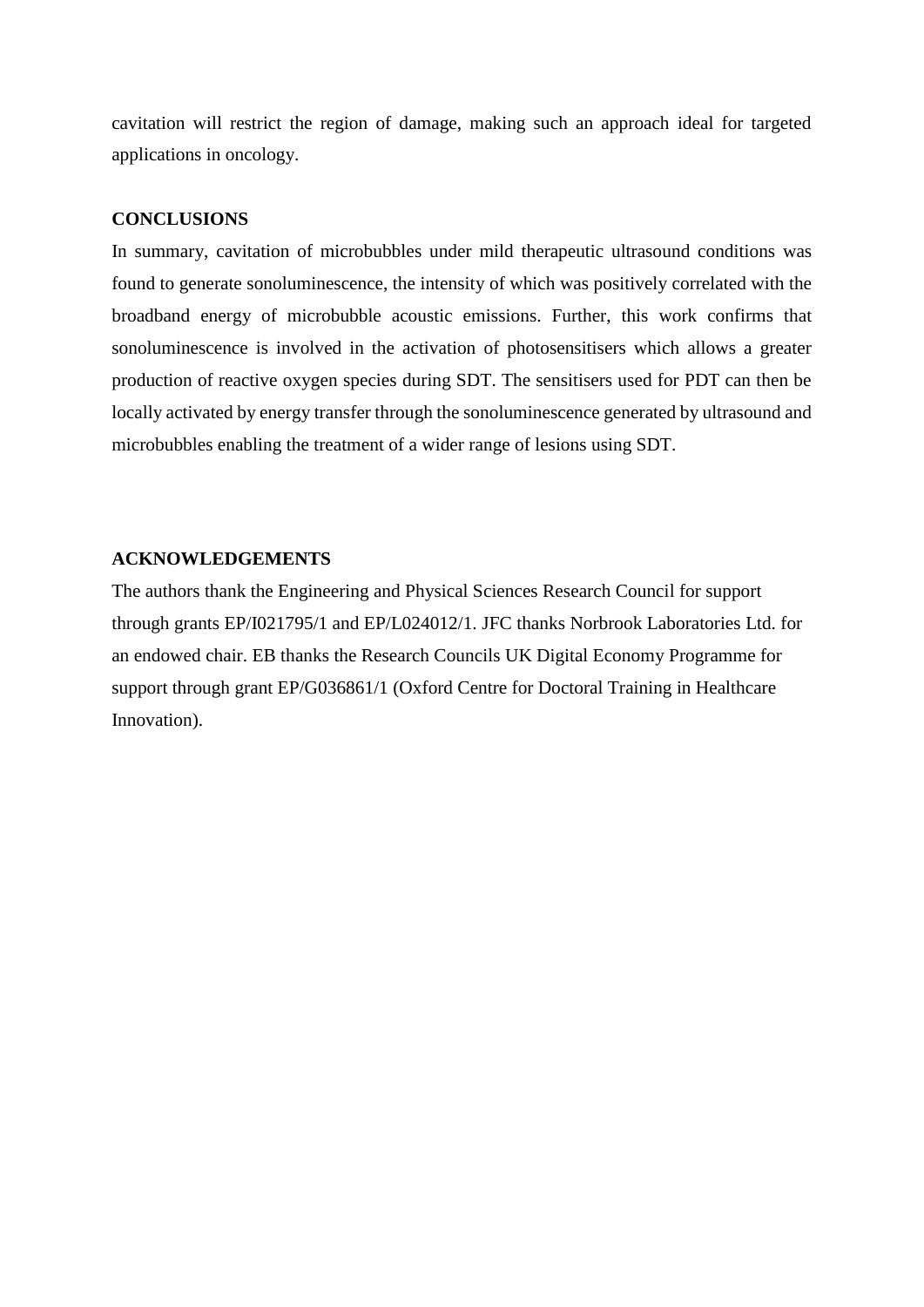cavitation will restrict the region of damage, making such an approach ideal for targeted applications in oncology.

## **CONCLUSIONS**

In summary, cavitation of microbubbles under mild therapeutic ultrasound conditions was found to generate sonoluminescence, the intensity of which was positively correlated with the broadband energy of microbubble acoustic emissions. Further, this work confirms that sonoluminescence is involved in the activation of photosensitisers which allows a greater production of reactive oxygen species during SDT. The sensitisers used for PDT can then be locally activated by energy transfer through the sonoluminescence generated by ultrasound and microbubbles enabling the treatment of a wider range of lesions using SDT.

## **ACKNOWLEDGEMENTS**

The authors thank the Engineering and Physical Sciences Research Council for support through grants EP/I021795/1 and EP/L024012/1. JFC thanks Norbrook Laboratories Ltd. for an endowed chair. EB thanks the Research Councils UK Digital Economy Programme for support through grant EP/G036861/1 (Oxford Centre for Doctoral Training in Healthcare Innovation).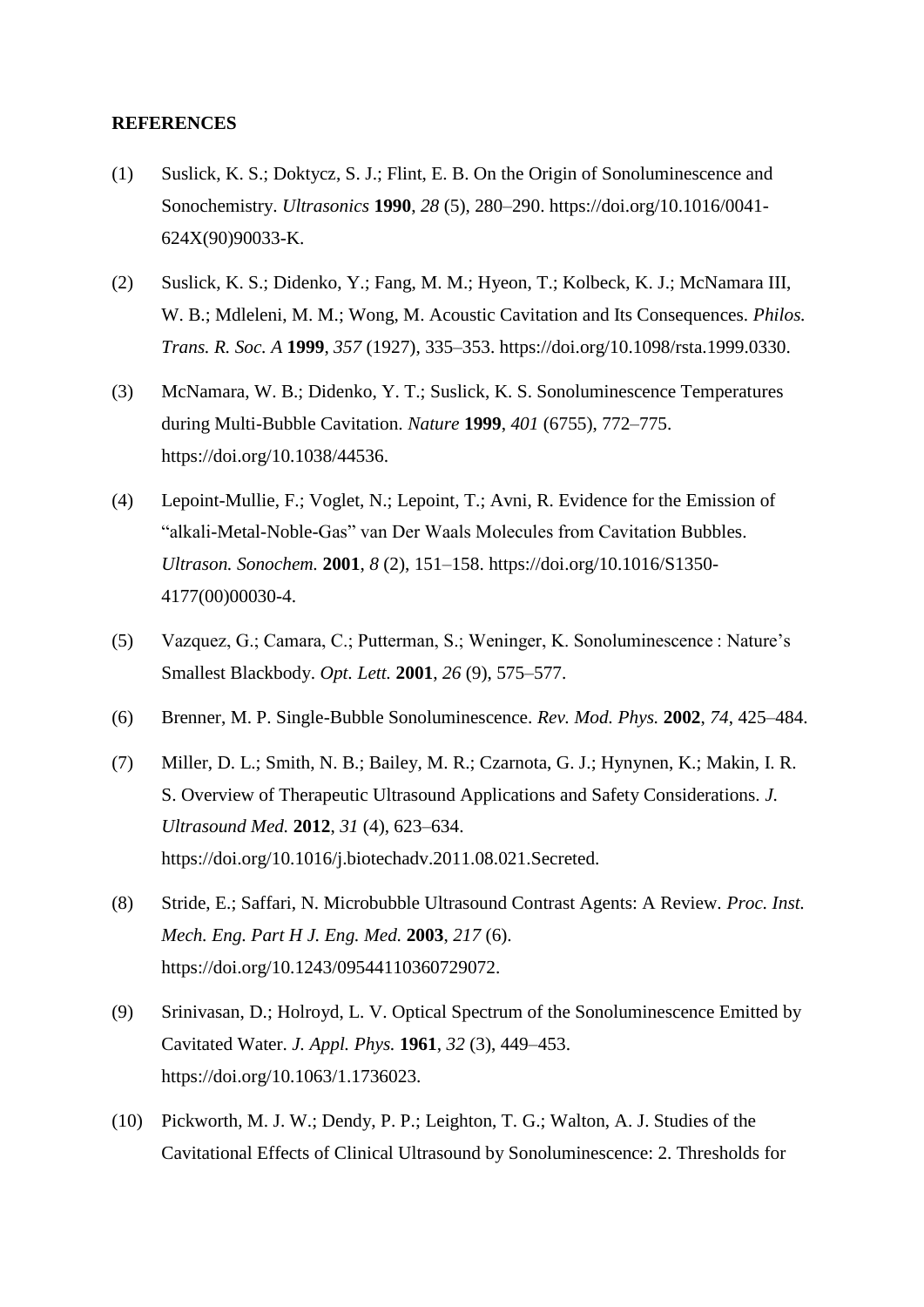#### **REFERENCES**

- (1) Suslick, K. S.; Doktycz, S. J.; Flint, E. B. On the Origin of Sonoluminescence and Sonochemistry. *Ultrasonics* **1990**, *28* (5), 280–290. https://doi.org/10.1016/0041- 624X(90)90033-K.
- (2) Suslick, K. S.; Didenko, Y.; Fang, M. M.; Hyeon, T.; Kolbeck, K. J.; McNamara III, W. B.; Mdleleni, M. M.; Wong, M. Acoustic Cavitation and Its Consequences. *Philos. Trans. R. Soc. A* **1999**, *357* (1927), 335–353. https://doi.org/10.1098/rsta.1999.0330.
- (3) McNamara, W. B.; Didenko, Y. T.; Suslick, K. S. Sonoluminescence Temperatures during Multi-Bubble Cavitation. *Nature* **1999**, *401* (6755), 772–775. https://doi.org/10.1038/44536.
- (4) Lepoint-Mullie, F.; Voglet, N.; Lepoint, T.; Avni, R. Evidence for the Emission of "alkali-Metal-Noble-Gas" van Der Waals Molecules from Cavitation Bubbles. *Ultrason. Sonochem.* **2001**, *8* (2), 151–158. https://doi.org/10.1016/S1350- 4177(00)00030-4.
- (5) Vazquez, G.; Camara, C.; Putterman, S.; Weninger, K. Sonoluminescence : Nature's Smallest Blackbody. *Opt. Lett.* **2001**, *26* (9), 575–577.
- (6) Brenner, M. P. Single-Bubble Sonoluminescence. *Rev. Mod. Phys.* **2002**, *74*, 425–484.
- (7) Miller, D. L.; Smith, N. B.; Bailey, M. R.; Czarnota, G. J.; Hynynen, K.; Makin, I. R. S. Overview of Therapeutic Ultrasound Applications and Safety Considerations. *J. Ultrasound Med.* **2012**, *31* (4), 623–634. https://doi.org/10.1016/j.biotechadv.2011.08.021.Secreted.
- (8) Stride, E.; Saffari, N. Microbubble Ultrasound Contrast Agents: A Review. *Proc. Inst. Mech. Eng. Part H J. Eng. Med.* **2003**, *217* (6). https://doi.org/10.1243/09544110360729072.
- (9) Srinivasan, D.; Holroyd, L. V. Optical Spectrum of the Sonoluminescence Emitted by Cavitated Water. *J. Appl. Phys.* **1961**, *32* (3), 449–453. https://doi.org/10.1063/1.1736023.
- (10) Pickworth, M. J. W.; Dendy, P. P.; Leighton, T. G.; Walton, A. J. Studies of the Cavitational Effects of Clinical Ultrasound by Sonoluminescence: 2. Thresholds for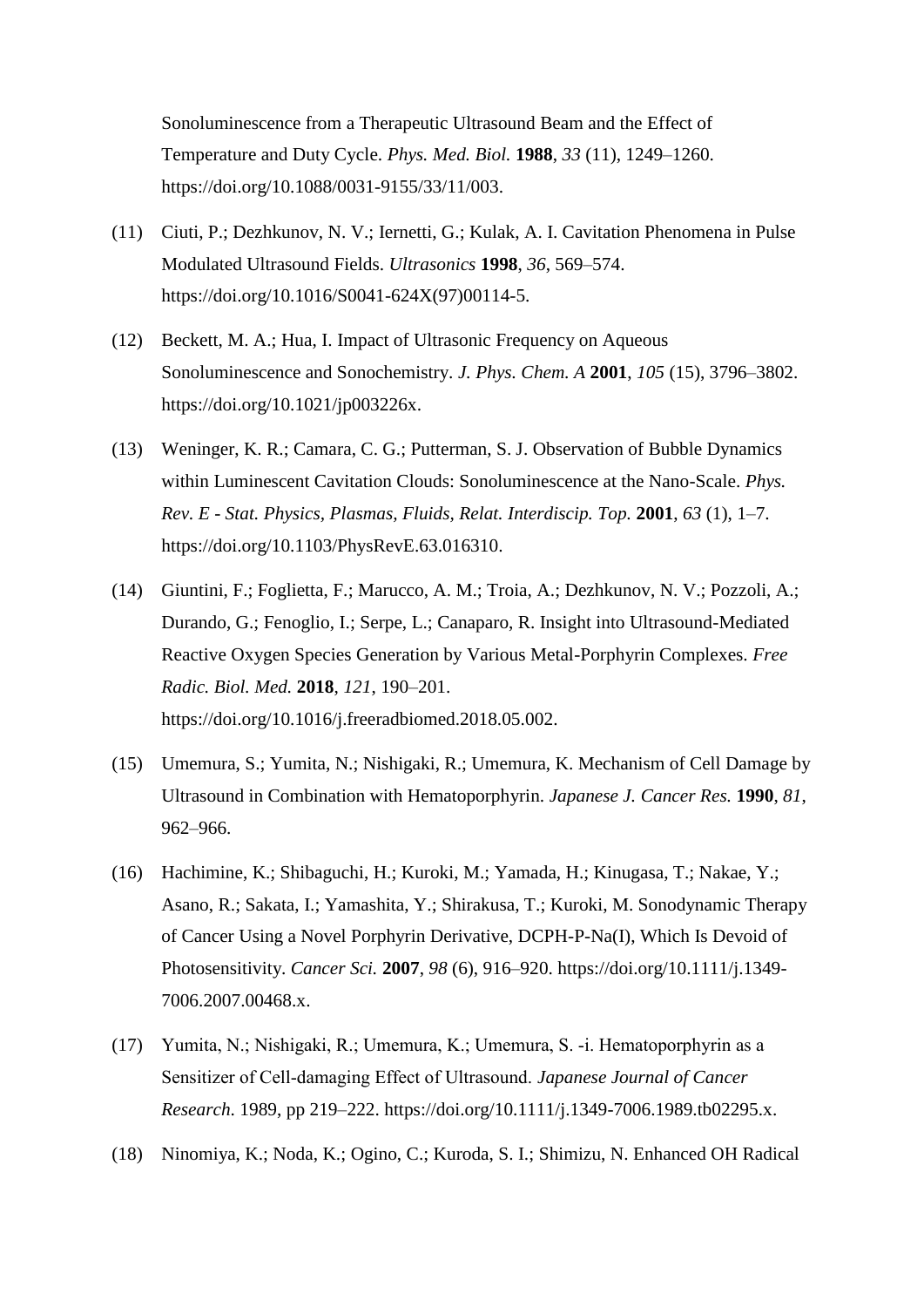Sonoluminescence from a Therapeutic Ultrasound Beam and the Effect of Temperature and Duty Cycle. *Phys. Med. Biol.* **1988**, *33* (11), 1249–1260. https://doi.org/10.1088/0031-9155/33/11/003.

- (11) Ciuti, P.; Dezhkunov, N. V.; Iernetti, G.; Kulak, A. I. Cavitation Phenomena in Pulse Modulated Ultrasound Fields. *Ultrasonics* **1998**, *36*, 569–574. https://doi.org/10.1016/S0041-624X(97)00114-5.
- (12) Beckett, M. A.; Hua, I. Impact of Ultrasonic Frequency on Aqueous Sonoluminescence and Sonochemistry. *J. Phys. Chem. A* **2001**, *105* (15), 3796–3802. https://doi.org/10.1021/jp003226x.
- (13) Weninger, K. R.; Camara, C. G.; Putterman, S. J. Observation of Bubble Dynamics within Luminescent Cavitation Clouds: Sonoluminescence at the Nano-Scale. *Phys. Rev. E - Stat. Physics, Plasmas, Fluids, Relat. Interdiscip. Top.* **2001**, *63* (1), 1–7. https://doi.org/10.1103/PhysRevE.63.016310.
- (14) Giuntini, F.; Foglietta, F.; Marucco, A. M.; Troia, A.; Dezhkunov, N. V.; Pozzoli, A.; Durando, G.; Fenoglio, I.; Serpe, L.; Canaparo, R. Insight into Ultrasound-Mediated Reactive Oxygen Species Generation by Various Metal-Porphyrin Complexes. *Free Radic. Biol. Med.* **2018**, *121*, 190–201. https://doi.org/10.1016/j.freeradbiomed.2018.05.002.
- (15) Umemura, S.; Yumita, N.; Nishigaki, R.; Umemura, K. Mechanism of Cell Damage by Ultrasound in Combination with Hematoporphyrin. *Japanese J. Cancer Res.* **1990**, *81*, 962–966.
- (16) Hachimine, K.; Shibaguchi, H.; Kuroki, M.; Yamada, H.; Kinugasa, T.; Nakae, Y.; Asano, R.; Sakata, I.; Yamashita, Y.; Shirakusa, T.; Kuroki, M. Sonodynamic Therapy of Cancer Using a Novel Porphyrin Derivative, DCPH-P-Na(I), Which Is Devoid of Photosensitivity. *Cancer Sci.* **2007**, *98* (6), 916–920. https://doi.org/10.1111/j.1349- 7006.2007.00468.x.
- (17) Yumita, N.; Nishigaki, R.; Umemura, K.; Umemura, S. ‐i. Hematoporphyrin as a Sensitizer of Cell‐damaging Effect of Ultrasound. *Japanese Journal of Cancer Research*. 1989, pp 219–222. https://doi.org/10.1111/j.1349-7006.1989.tb02295.x.
- (18) Ninomiya, K.; Noda, K.; Ogino, C.; Kuroda, S. I.; Shimizu, N. Enhanced OH Radical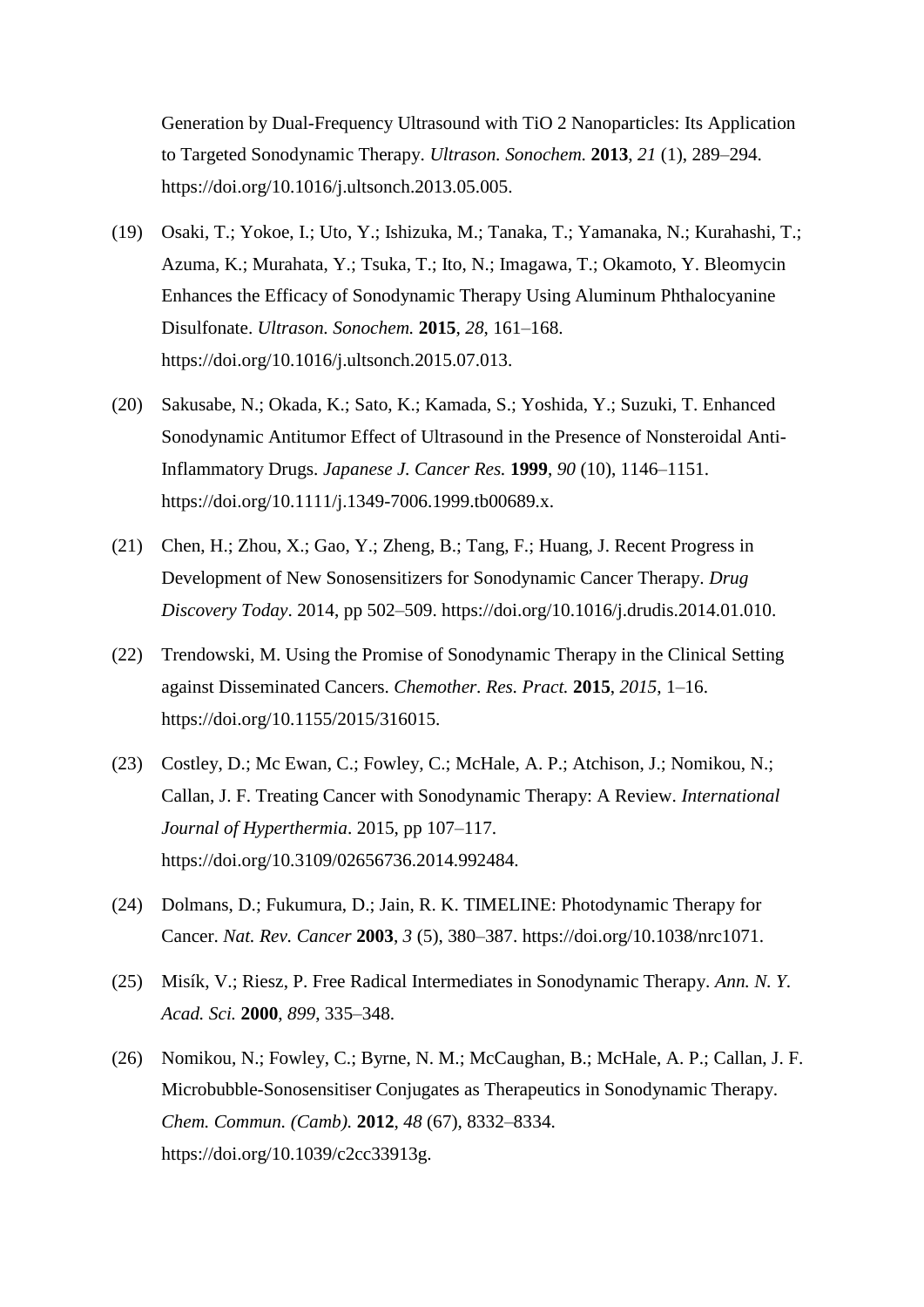Generation by Dual-Frequency Ultrasound with TiO 2 Nanoparticles: Its Application to Targeted Sonodynamic Therapy. *Ultrason. Sonochem.* **2013**, *21* (1), 289–294. https://doi.org/10.1016/j.ultsonch.2013.05.005.

- (19) Osaki, T.; Yokoe, I.; Uto, Y.; Ishizuka, M.; Tanaka, T.; Yamanaka, N.; Kurahashi, T.; Azuma, K.; Murahata, Y.; Tsuka, T.; Ito, N.; Imagawa, T.; Okamoto, Y. Bleomycin Enhances the Efficacy of Sonodynamic Therapy Using Aluminum Phthalocyanine Disulfonate. *Ultrason. Sonochem.* **2015**, *28*, 161–168. https://doi.org/10.1016/j.ultsonch.2015.07.013.
- (20) Sakusabe, N.; Okada, K.; Sato, K.; Kamada, S.; Yoshida, Y.; Suzuki, T. Enhanced Sonodynamic Antitumor Effect of Ultrasound in the Presence of Nonsteroidal Anti-Inflammatory Drugs. *Japanese J. Cancer Res.* **1999**, *90* (10), 1146–1151. https://doi.org/10.1111/j.1349-7006.1999.tb00689.x.
- (21) Chen, H.; Zhou, X.; Gao, Y.; Zheng, B.; Tang, F.; Huang, J. Recent Progress in Development of New Sonosensitizers for Sonodynamic Cancer Therapy. *Drug Discovery Today*. 2014, pp 502–509. https://doi.org/10.1016/j.drudis.2014.01.010.
- (22) Trendowski, M. Using the Promise of Sonodynamic Therapy in the Clinical Setting against Disseminated Cancers. *Chemother. Res. Pract.* **2015**, *2015*, 1–16. https://doi.org/10.1155/2015/316015.
- (23) Costley, D.; Mc Ewan, C.; Fowley, C.; McHale, A. P.; Atchison, J.; Nomikou, N.; Callan, J. F. Treating Cancer with Sonodynamic Therapy: A Review. *International Journal of Hyperthermia*. 2015, pp 107–117. https://doi.org/10.3109/02656736.2014.992484.
- (24) Dolmans, D.; Fukumura, D.; Jain, R. K. TIMELINE: Photodynamic Therapy for Cancer. *Nat. Rev. Cancer* **2003**, *3* (5), 380–387. https://doi.org/10.1038/nrc1071.
- (25) Misík, V.; Riesz, P. Free Radical Intermediates in Sonodynamic Therapy. *Ann. N. Y. Acad. Sci.* **2000**, *899*, 335–348.
- (26) Nomikou, N.; Fowley, C.; Byrne, N. M.; McCaughan, B.; McHale, A. P.; Callan, J. F. Microbubble-Sonosensitiser Conjugates as Therapeutics in Sonodynamic Therapy. *Chem. Commun. (Camb).* **2012**, *48* (67), 8332–8334. https://doi.org/10.1039/c2cc33913g.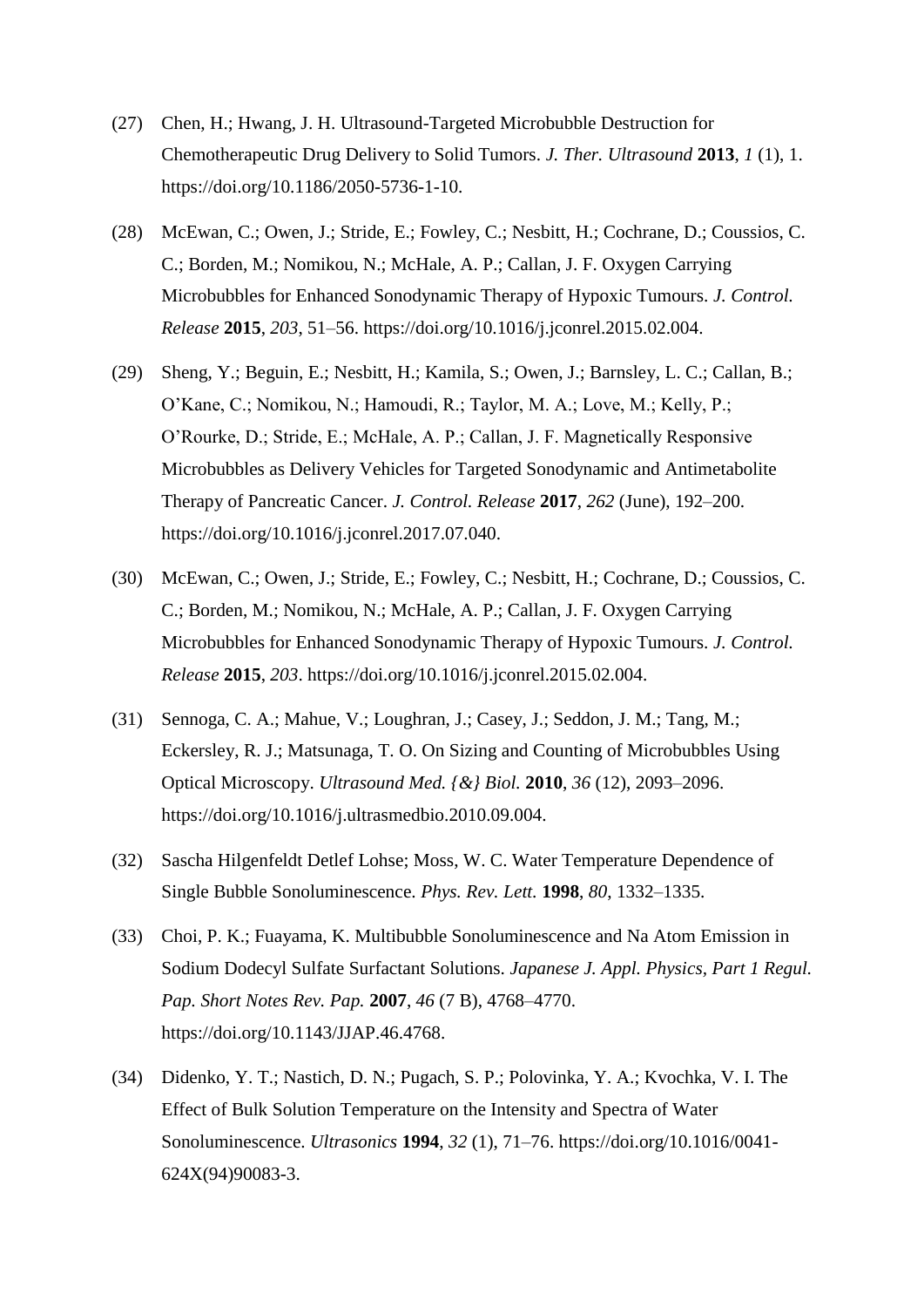- (27) Chen, H.; Hwang, J. H. Ultrasound-Targeted Microbubble Destruction for Chemotherapeutic Drug Delivery to Solid Tumors. *J. Ther. Ultrasound* **2013**, *1* (1), 1. https://doi.org/10.1186/2050-5736-1-10.
- (28) McEwan, C.; Owen, J.; Stride, E.; Fowley, C.; Nesbitt, H.; Cochrane, D.; Coussios, C. C.; Borden, M.; Nomikou, N.; McHale, A. P.; Callan, J. F. Oxygen Carrying Microbubbles for Enhanced Sonodynamic Therapy of Hypoxic Tumours. *J. Control. Release* **2015**, *203*, 51–56. https://doi.org/10.1016/j.jconrel.2015.02.004.
- (29) Sheng, Y.; Beguin, E.; Nesbitt, H.; Kamila, S.; Owen, J.; Barnsley, L. C.; Callan, B.; O'Kane, C.; Nomikou, N.; Hamoudi, R.; Taylor, M. A.; Love, M.; Kelly, P.; O'Rourke, D.; Stride, E.; McHale, A. P.; Callan, J. F. Magnetically Responsive Microbubbles as Delivery Vehicles for Targeted Sonodynamic and Antimetabolite Therapy of Pancreatic Cancer. *J. Control. Release* **2017**, *262* (June), 192–200. https://doi.org/10.1016/j.jconrel.2017.07.040.
- (30) McEwan, C.; Owen, J.; Stride, E.; Fowley, C.; Nesbitt, H.; Cochrane, D.; Coussios, C. C.; Borden, M.; Nomikou, N.; McHale, A. P.; Callan, J. F. Oxygen Carrying Microbubbles for Enhanced Sonodynamic Therapy of Hypoxic Tumours. *J. Control. Release* **2015**, *203*. https://doi.org/10.1016/j.jconrel.2015.02.004.
- (31) Sennoga, C. A.; Mahue, V.; Loughran, J.; Casey, J.; Seddon, J. M.; Tang, M.; Eckersley, R. J.; Matsunaga, T. O. On Sizing and Counting of Microbubbles Using Optical Microscopy. *Ultrasound Med. {&} Biol.* **2010**, *36* (12), 2093–2096. https://doi.org/10.1016/j.ultrasmedbio.2010.09.004.
- (32) Sascha Hilgenfeldt Detlef Lohse; Moss, W. C. Water Temperature Dependence of Single Bubble Sonoluminescence. *Phys. Rev. Lett.* **1998**, *80*, 1332–1335.
- (33) Choi, P. K.; Fuayama, K. Multibubble Sonoluminescence and Na Atom Emission in Sodium Dodecyl Sulfate Surfactant Solutions. *Japanese J. Appl. Physics, Part 1 Regul. Pap. Short Notes Rev. Pap.* **2007**, *46* (7 B), 4768–4770. https://doi.org/10.1143/JJAP.46.4768.
- (34) Didenko, Y. T.; Nastich, D. N.; Pugach, S. P.; Polovinka, Y. A.; Kvochka, V. I. The Effect of Bulk Solution Temperature on the Intensity and Spectra of Water Sonoluminescence. *Ultrasonics* **1994**, *32* (1), 71–76. https://doi.org/10.1016/0041- 624X(94)90083-3.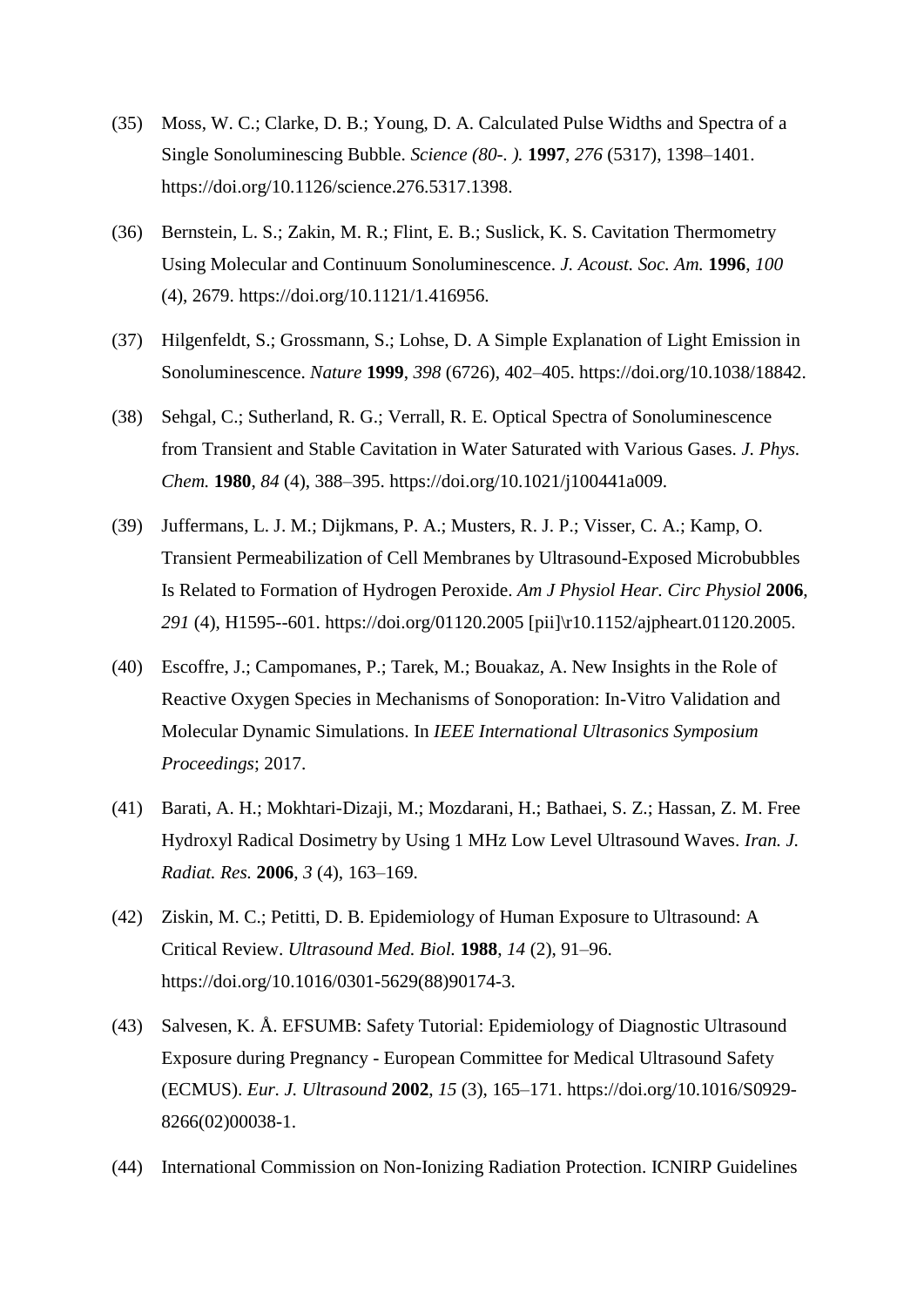- (35) Moss, W. C.; Clarke, D. B.; Young, D. A. Calculated Pulse Widths and Spectra of a Single Sonoluminescing Bubble. *Science (80-. ).* **1997**, *276* (5317), 1398–1401. https://doi.org/10.1126/science.276.5317.1398.
- (36) Bernstein, L. S.; Zakin, M. R.; Flint, E. B.; Suslick, K. S. Cavitation Thermometry Using Molecular and Continuum Sonoluminescence. *J. Acoust. Soc. Am.* **1996**, *100* (4), 2679. https://doi.org/10.1121/1.416956.
- (37) Hilgenfeldt, S.; Grossmann, S.; Lohse, D. A Simple Explanation of Light Emission in Sonoluminescence. *Nature* **1999**, *398* (6726), 402–405. https://doi.org/10.1038/18842.
- (38) Sehgal, C.; Sutherland, R. G.; Verrall, R. E. Optical Spectra of Sonoluminescence from Transient and Stable Cavitation in Water Saturated with Various Gases. *J. Phys. Chem.* **1980**, *84* (4), 388–395. https://doi.org/10.1021/j100441a009.
- (39) Juffermans, L. J. M.; Dijkmans, P. A.; Musters, R. J. P.; Visser, C. A.; Kamp, O. Transient Permeabilization of Cell Membranes by Ultrasound-Exposed Microbubbles Is Related to Formation of Hydrogen Peroxide. *Am J Physiol Hear. Circ Physiol* **2006**, *291* (4), H1595--601. https://doi.org/01120.2005 [pii]\r10.1152/ajpheart.01120.2005.
- (40) Escoffre, J.; Campomanes, P.; Tarek, M.; Bouakaz, A. New Insights in the Role of Reactive Oxygen Species in Mechanisms of Sonoporation: In-Vitro Validation and Molecular Dynamic Simulations. In *IEEE International Ultrasonics Symposium Proceedings*; 2017.
- (41) Barati, A. H.; Mokhtari-Dizaji, M.; Mozdarani, H.; Bathaei, S. Z.; Hassan, Z. M. Free Hydroxyl Radical Dosimetry by Using 1 MHz Low Level Ultrasound Waves. *Iran. J. Radiat. Res.* **2006**, *3* (4), 163–169.
- (42) Ziskin, M. C.; Petitti, D. B. Epidemiology of Human Exposure to Ultrasound: A Critical Review. *Ultrasound Med. Biol.* **1988**, *14* (2), 91–96. https://doi.org/10.1016/0301-5629(88)90174-3.
- (43) Salvesen, K. Å. EFSUMB: Safety Tutorial: Epidemiology of Diagnostic Ultrasound Exposure during Pregnancy - European Committee for Medical Ultrasound Safety (ECMUS). *Eur. J. Ultrasound* **2002**, *15* (3), 165–171. https://doi.org/10.1016/S0929- 8266(02)00038-1.
- (44) International Commission on Non-Ionizing Radiation Protection. ICNIRP Guidelines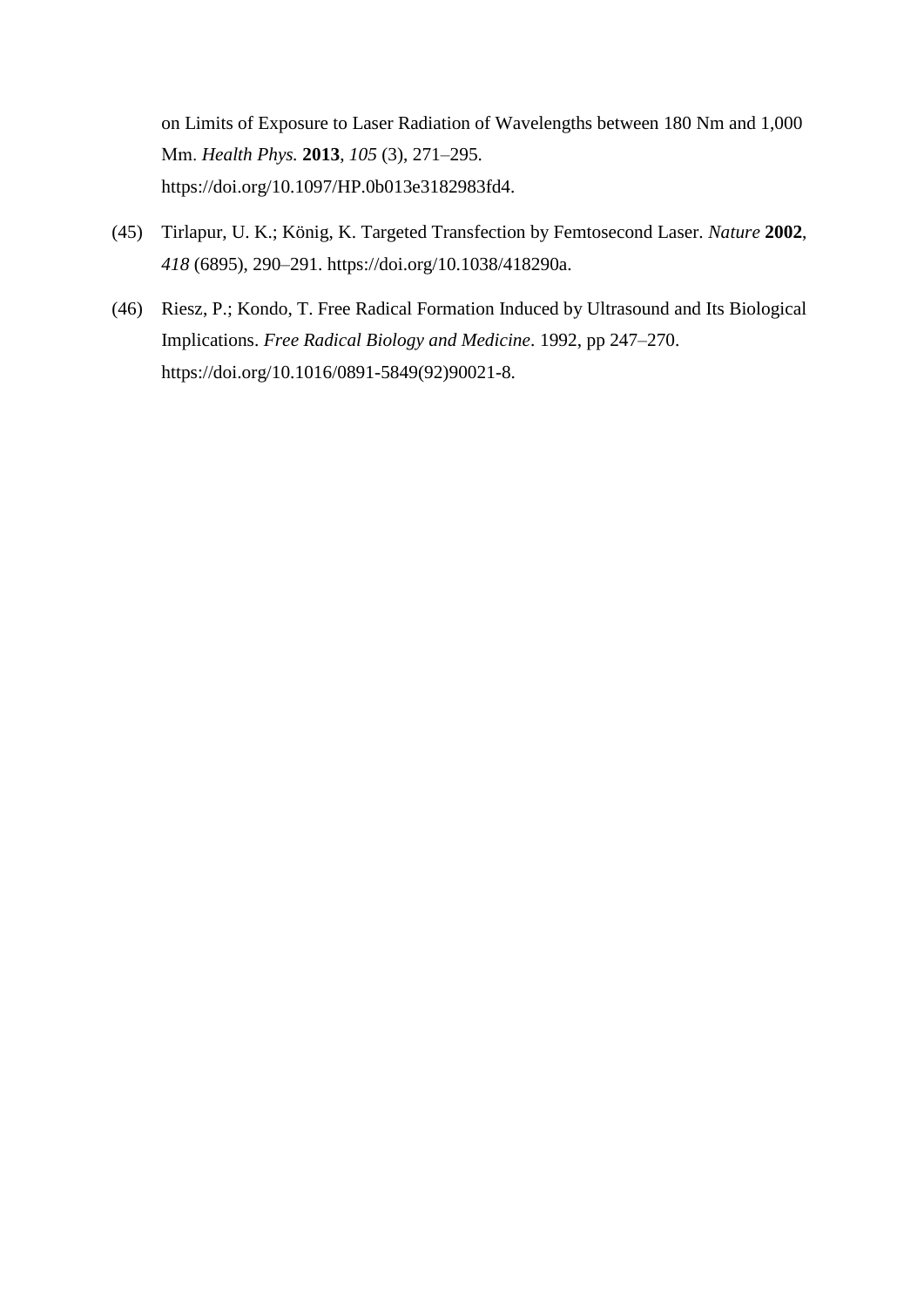on Limits of Exposure to Laser Radiation of Wavelengths between 180 Nm and 1,000 Μm. *Health Phys.* **2013**, *105* (3), 271–295. https://doi.org/10.1097/HP.0b013e3182983fd4.

- (45) Tirlapur, U. K.; König, K. Targeted Transfection by Femtosecond Laser. *Nature* **2002**, *418* (6895), 290–291. https://doi.org/10.1038/418290a.
- (46) Riesz, P.; Kondo, T. Free Radical Formation Induced by Ultrasound and Its Biological Implications. *Free Radical Biology and Medicine*. 1992, pp 247–270. https://doi.org/10.1016/0891-5849(92)90021-8.